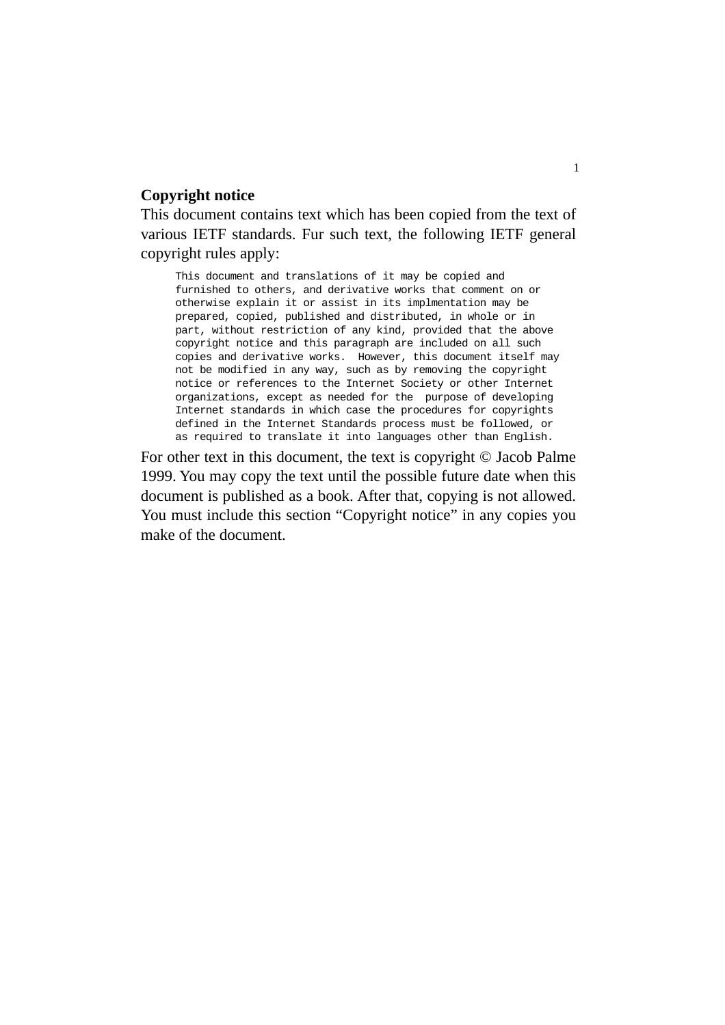#### **Copyright notice**

This document contains text which has been copied from the text of various IETF standards. Fur such text, the following IETF general copyright rules apply:

This document and translations of it may be copied and furnished to others, and derivative works that comment on or otherwise explain it or assist in its implmentation may be prepared, copied, published and distributed, in whole or in part, without restriction of any kind, provided that the above copyright notice and this paragraph are included on all such copies and derivative works. However, this document itself may not be modified in any way, such as by removing the copyright notice or references to the Internet Society or other Internet organizations, except as needed for the purpose of developing Internet standards in which case the procedures for copyrights defined in the Internet Standards process must be followed, or as required to translate it into languages other than English.

For other text in this document, the text is copyright © Jacob Palme 1999. You may copy the text until the possible future date when this document is published as a book. After that, copying is not allowed. You must include this section "Copyright notice" in any copies you make of the document.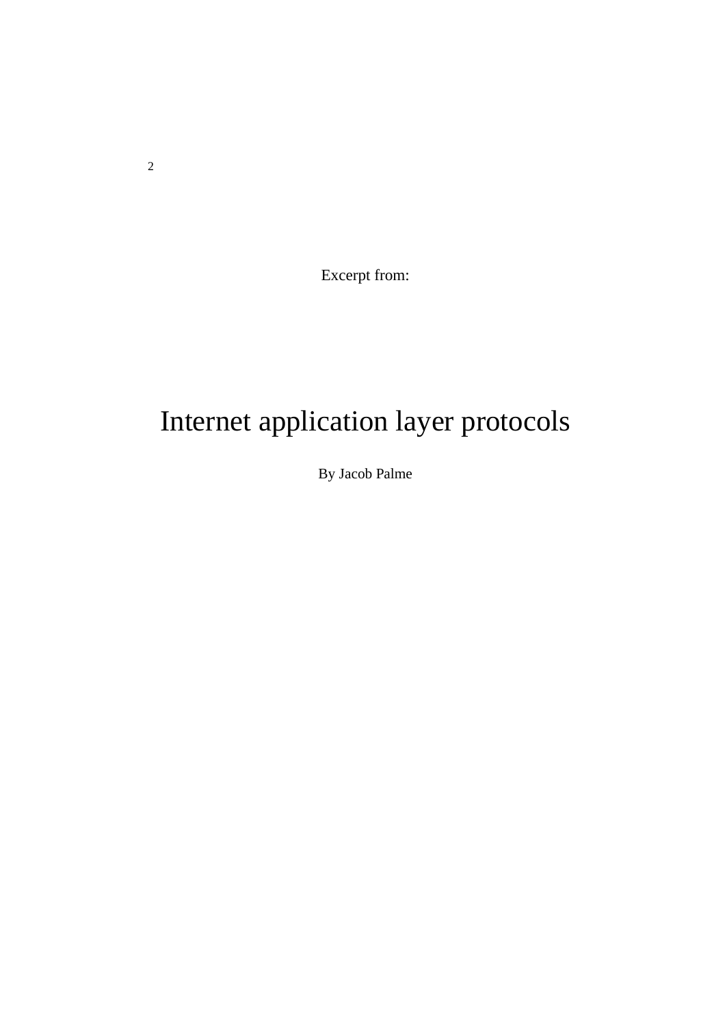Excerpt from:

# Internet application layer protocols

By Jacob Palme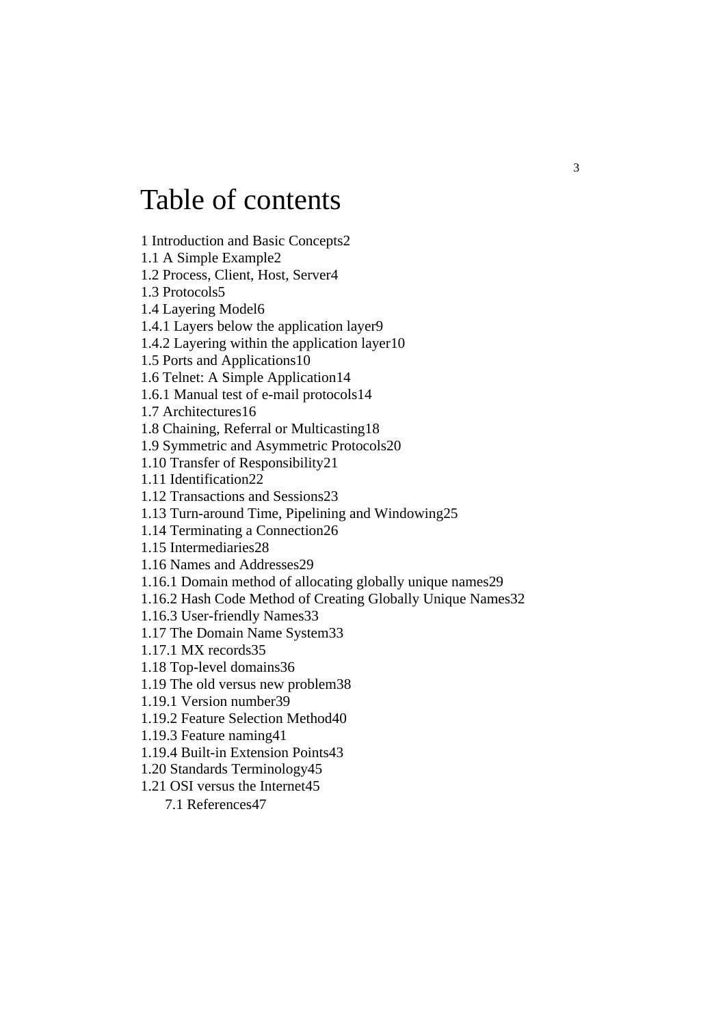# Table of contents

1 Introduction and Basic Concepts2

1.1 A Simple Example2

1.2 Process, Client, Host, Server4

1.3 Protocols5

1.4 Layering Model6

1.4.1 Layers below the application layer9

1.4.2 Layering within the application layer10

1.5 Ports and Applications10

1.6 Telnet: A Simple Application14

1.6.1 Manual test of e-mail protocols14

1.7 Architectures16

1.8 Chaining, Referral or Multicasting18

1.9 Symmetric and Asymmetric Protocols20

1.10 Transfer of Responsibility21

1.11 Identification22

1.12 Transactions and Sessions23

1.13 Turn-around Time, Pipelining and Windowing25

1.14 Terminating a Connection26

1.15 Intermediaries28

1.16 Names and Addresses29

1.16.1 Domain method of allocating globally unique names29

1.16.2 Hash Code Method of Creating Globally Unique Names32

1.16.3 User-friendly Names33

1.17 The Domain Name System33

1.17.1 MX records35

1.18 Top-level domains36

1.19 The old versus new problem38

1.19.1 Version number39

1.19.2 Feature Selection Method40

1.19.3 Feature naming41

1.19.4 Built-in Extension Points43

1.20 Standards Terminology45

1.21 OSI versus the Internet45

7.1 References47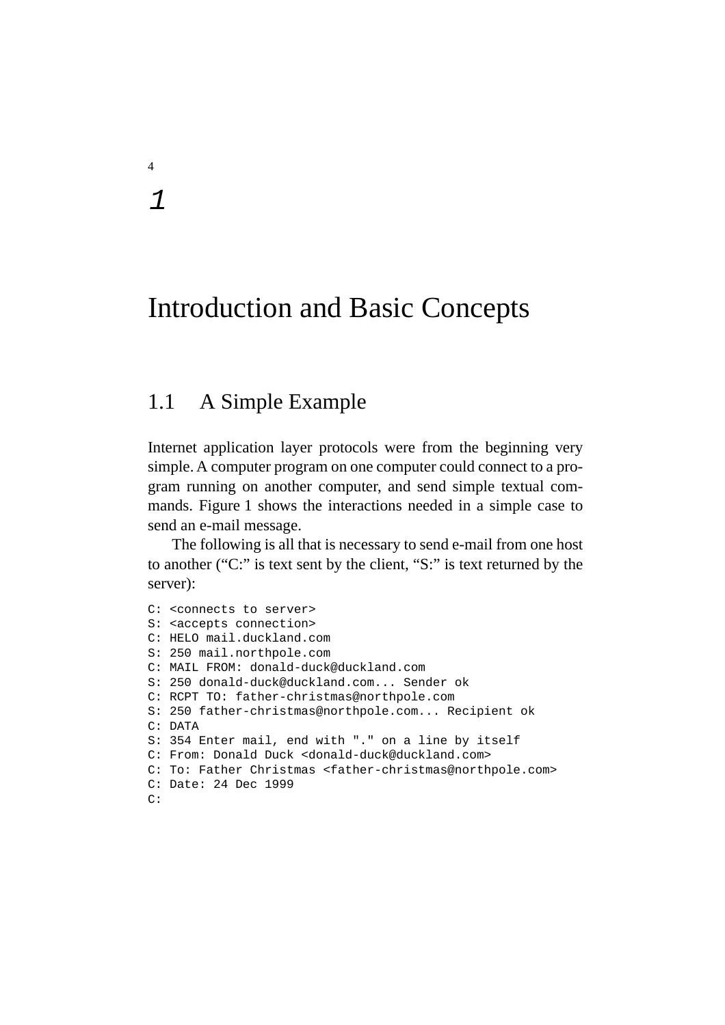4

1

# Introduction and Basic Concepts

# 1.1 A Simple Example

Internet application layer protocols were from the beginning very simple. A computer program on one computer could connect to a program running on another computer, and send simple textual commands. Figure 1 shows the interactions needed in a simple case to send an e-mail message.

The following is all that is necessary to send e-mail from one host to another ("C:" is text sent by the client, "S:" is text returned by the server):

```
C: <connects to server>
S: <accepts connection>
C: HELO mail.duckland.com
S: 250 mail.northpole.com
C: MAIL FROM: donald-duck@duckland.com
S: 250 donald-duck@duckland.com... Sender ok
C: RCPT TO: father-christmas@northpole.com
S: 250 father-christmas@northpole.com... Recipient ok
C: DATA
S: 354 Enter mail, end with "." on a line by itself
C: From: Donald Duck <donald-duck@duckland.com>
C: To: Father Christmas <father-christmas@northpole.com>
C: Date: 24 Dec 1999
C:
```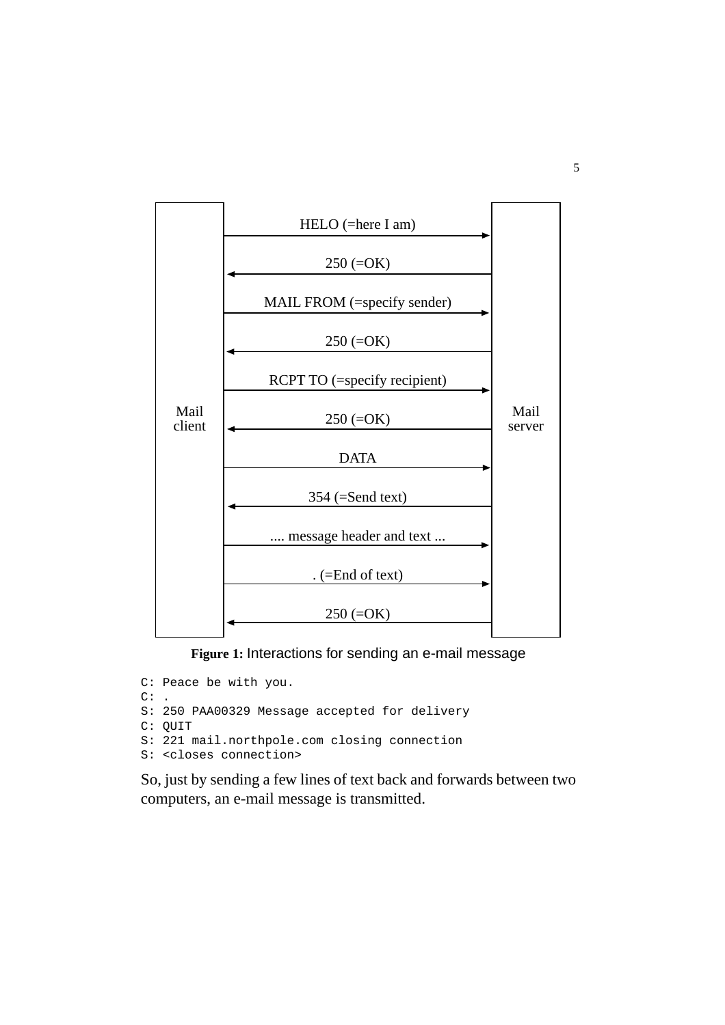

**Figure 1:** Interactions for sending an e-mail message

```
C: Peace be with you.
\mathbb{C}\colon .
S: 250 PAA00329 Message accepted for delivery
C: QUIT
S: 221 mail.northpole.com closing connection
S: <closes connection>
```
So, just by sending a few lines of text back and forwards between two computers, an e-mail message is transmitted.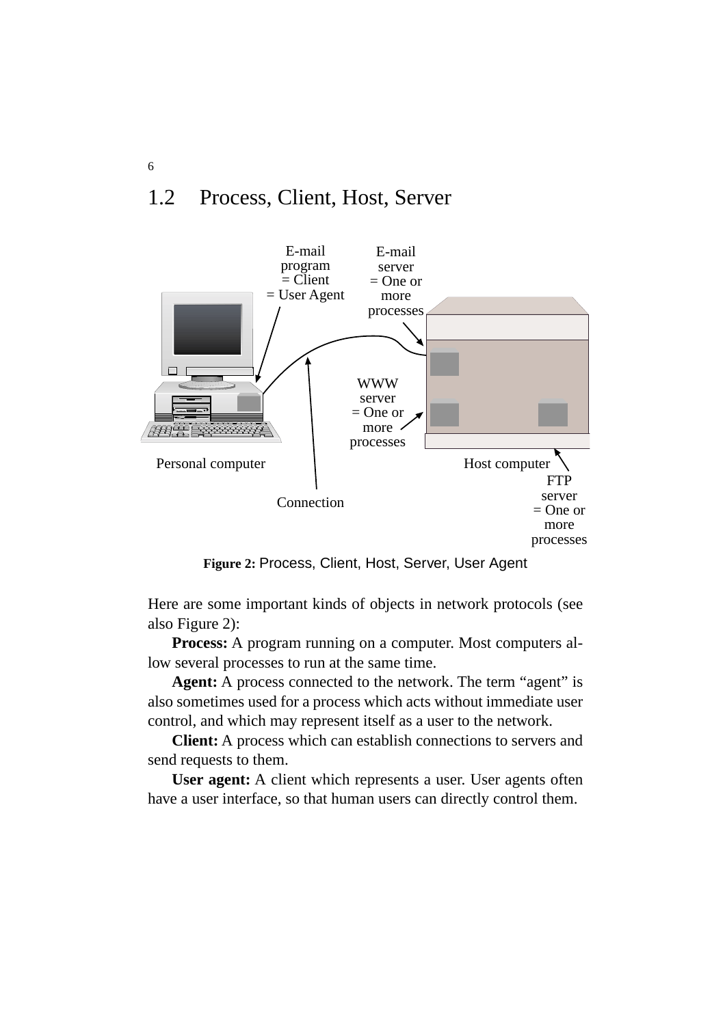# 1.2 Process, Client, Host, Server



**Figure 2:** Process, Client, Host, Server, User Agent

Here are some important kinds of objects in network protocols (see also Figure 2):

**Process:** A program running on a computer. Most computers allow several processes to run at the same time.

**Agent:** A process connected to the network. The term "agent" is also sometimes used for a process which acts without immediate user control, and which may represent itself as a user to the network.

**Client:** A process which can establish connections to servers and send requests to them.

**User agent:** A client which represents a user. User agents often have a user interface, so that human users can directly control them.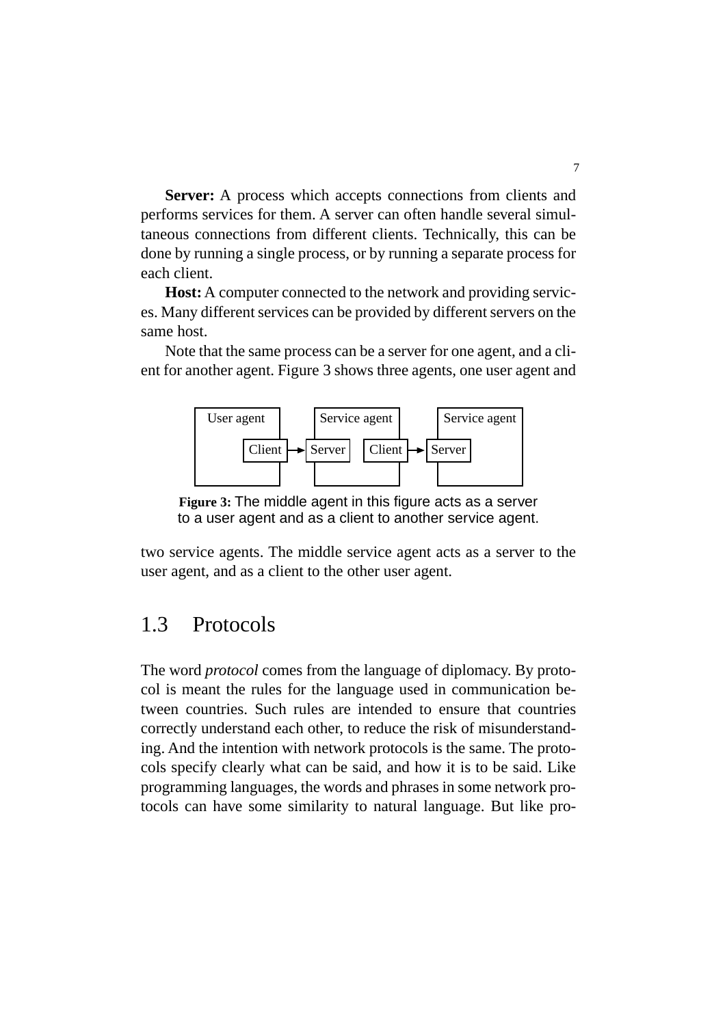**Server:** A process which accepts connections from clients and performs services for them. A server can often handle several simultaneous connections from different clients. Technically, this can be done by running a single process, or by running a separate process for each client.

**Host:** A computer connected to the network and providing services. Many different services can be provided by different servers on the same host.

Note that the same process can be a server for one agent, and a client for another agent. Figure 3 shows three agents, one user agent and



**Figure 3:** The middle agent in this figure acts as a server to a user agent and as a client to another service agent.

two service agents. The middle service agent acts as a server to the user agent, and as a client to the other user agent.

# 1.3 Protocols

The word *protocol* comes from the language of diplomacy. By protocol is meant the rules for the language used in communication between countries. Such rules are intended to ensure that countries correctly understand each other, to reduce the risk of misunderstanding. And the intention with network protocols is the same. The protocols specify clearly what can be said, and how it is to be said. Like programming languages, the words and phrases in some network protocols can have some similarity to natural language. But like pro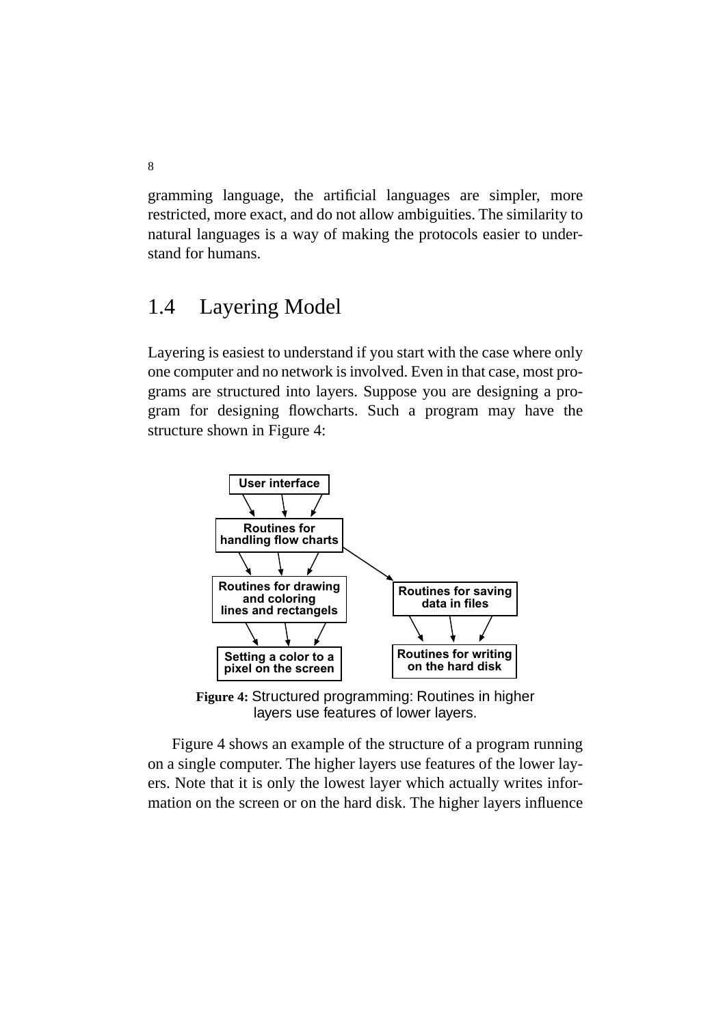gramming language, the artificial languages are simpler, more restricted, more exact, and do not allow ambiguities. The similarity to natural languages is a way of making the protocols easier to understand for humans.

# 1.4 Layering Model

Layering is easiest to understand if you start with the case where only one computer and no network is involved. Even in that case, most programs are structured into layers. Suppose you are designing a program for designing flowcharts. Such a program may have the structure shown in Figure 4:



**Figure 4:** Structured programming: Routines in higher layers use features of lower layers.

Figure 4 shows an example of the structure of a program running on a single computer. The higher layers use features of the lower layers. Note that it is only the lowest layer which actually writes information on the screen or on the hard disk. The higher layers influence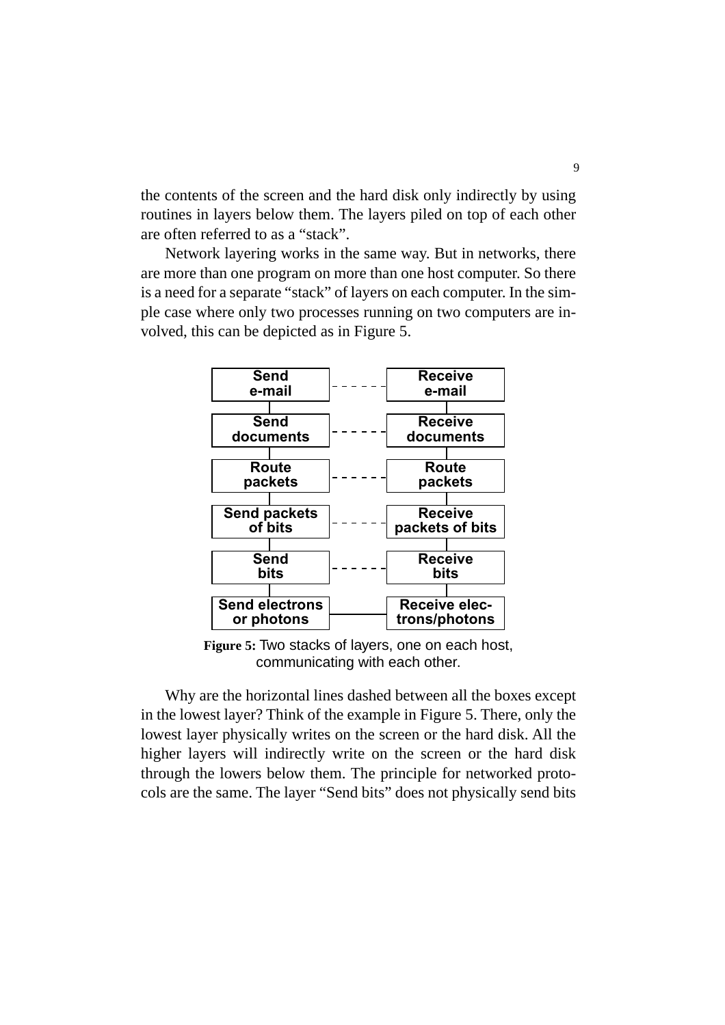the contents of the screen and the hard disk only indirectly by using routines in layers below them. The layers piled on top of each other are often referred to as a "stack".

Network layering works in the same way. But in networks, there are more than one program on more than one host computer. So there is a need for a separate "stack" of layers on each computer. In the simple case where only two processes running on two computers are involved, this can be depicted as in Figure 5.



**Figure 5:** Two stacks of layers, one on each host, communicating with each other.

Why are the horizontal lines dashed between all the boxes except in the lowest layer? Think of the example in Figure 5. There, only the lowest layer physically writes on the screen or the hard disk. All the higher layers will indirectly write on the screen or the hard disk through the lowers below them. The principle for networked protocols are the same. The layer "Send bits" does not physically send bits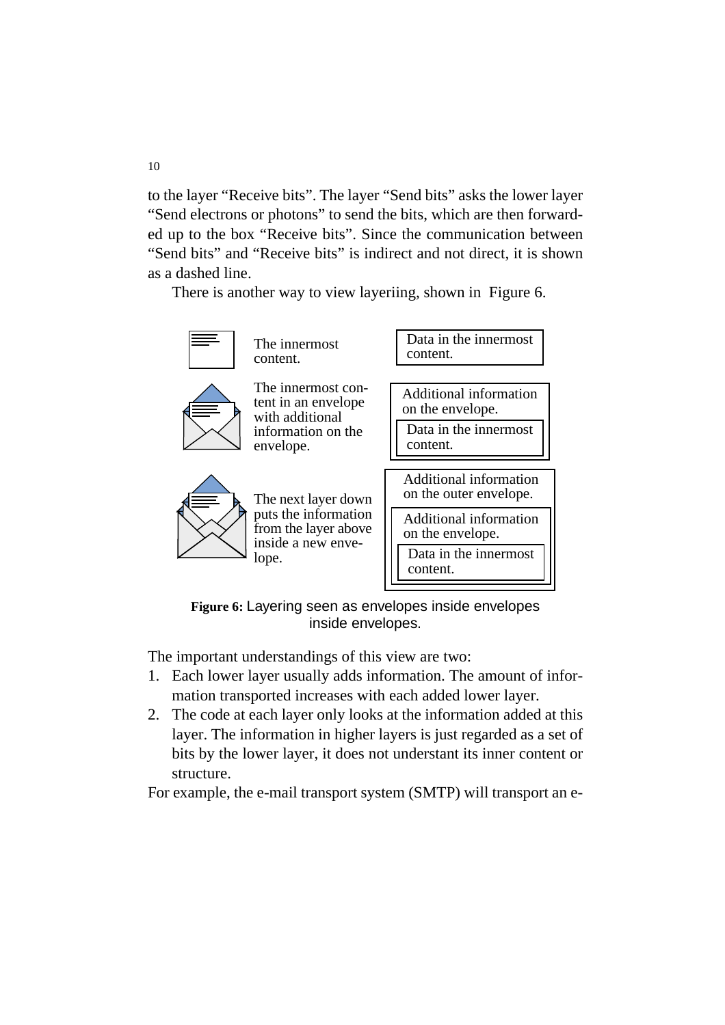to the layer "Receive bits". The layer "Send bits" asks the lower layer "Send electrons or photons" to send the bits, which are then forwarded up to the box "Receive bits". Since the communication between "Send bits" and "Receive bits" is indirect and not direct, it is shown as a dashed line.

There is another way to view layeriing, shown in Figure 6.



**Figure 6:** Layering seen as envelopes inside envelopes inside envelopes.

The important understandings of this view are two:

- 1. Each lower layer usually adds information. The amount of information transported increases with each added lower layer.
- 2. The code at each layer only looks at the information added at this layer. The information in higher layers is just regarded as a set of bits by the lower layer, it does not understant its inner content or structure.

For example, the e-mail transport system (SMTP) will transport an e-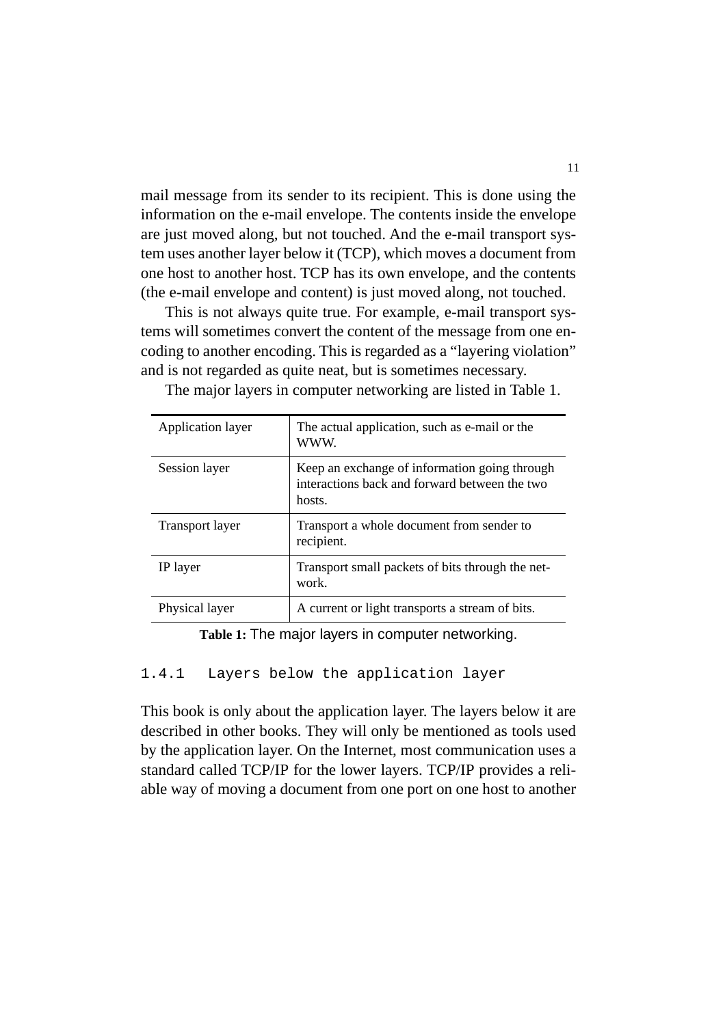mail message from its sender to its recipient. This is done using the information on the e-mail envelope. The contents inside the envelope are just moved along, but not touched. And the e-mail transport system uses another layer below it (TCP), which moves a document from one host to another host. TCP has its own envelope, and the contents (the e-mail envelope and content) is just moved along, not touched.

This is not always quite true. For example, e-mail transport systems will sometimes convert the content of the message from one encoding to another encoding. This is regarded as a "layering violation" and is not regarded as quite neat, but is sometimes necessary.

| Application layer      | The actual application, such as e-mail or the<br>WWW.                                                    |
|------------------------|----------------------------------------------------------------------------------------------------------|
| Session layer          | Keep an exchange of information going through<br>interactions back and forward between the two<br>hosts. |
| <b>Transport layer</b> | Transport a whole document from sender to<br>recipient.                                                  |
| IP layer               | Transport small packets of bits through the net-<br>work.                                                |
| Physical layer         | A current or light transports a stream of bits.                                                          |

The major layers in computer networking are listed in Table 1.

**Table 1:** The major layers in computer networking.

#### 1.4.1 Layers below the application layer

This book is only about the application layer. The layers below it are described in other books. They will only be mentioned as tools used by the application layer. On the Internet, most communication uses a standard called TCP/IP for the lower layers. TCP/IP provides a reliable way of moving a document from one port on one host to another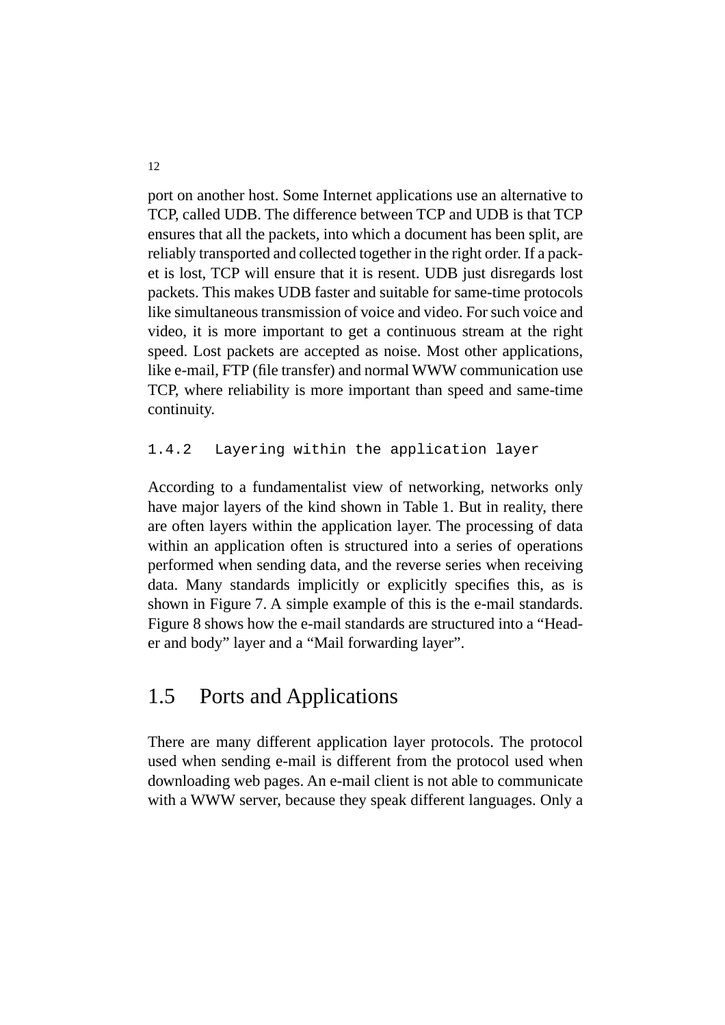port on another host. Some Internet applications use an alternative to TCP, called UDB. The difference between TCP and UDB is that TCP ensures that all the packets, into which a document has been split, are reliably transported and collected together in the right order. If a packet is lost, TCP will ensure that it is resent. UDB just disregards lost packets. This makes UDB faster and suitable for same-time protocols like simultaneous transmission of voice and video. For such voice and video, it is more important to get a continuous stream at the right speed. Lost packets are accepted as noise. Most other applications, like e-mail, FTP (file transfer) and normal WWW communication use TCP, where reliability is more important than speed and same-time continuity.

#### 1.4.2 Layering within the application layer

According to a fundamentalist view of networking, networks only have major layers of the kind shown in Table 1. But in reality, there are often layers within the application layer. The processing of data within an application often is structured into a series of operations performed when sending data, and the reverse series when receiving data. Many standards implicitly or explicitly specifies this, as is shown in Figure 7. A simple example of this is the e-mail standards. Figure 8 shows how the e-mail standards are structured into a "Header and body" layer and a "Mail forwarding layer".

# 1.5 Ports and Applications

There are many different application layer protocols. The protocol used when sending e-mail is different from the protocol used when downloading web pages. An e-mail client is not able to communicate with a WWW server, because they speak different languages. Only a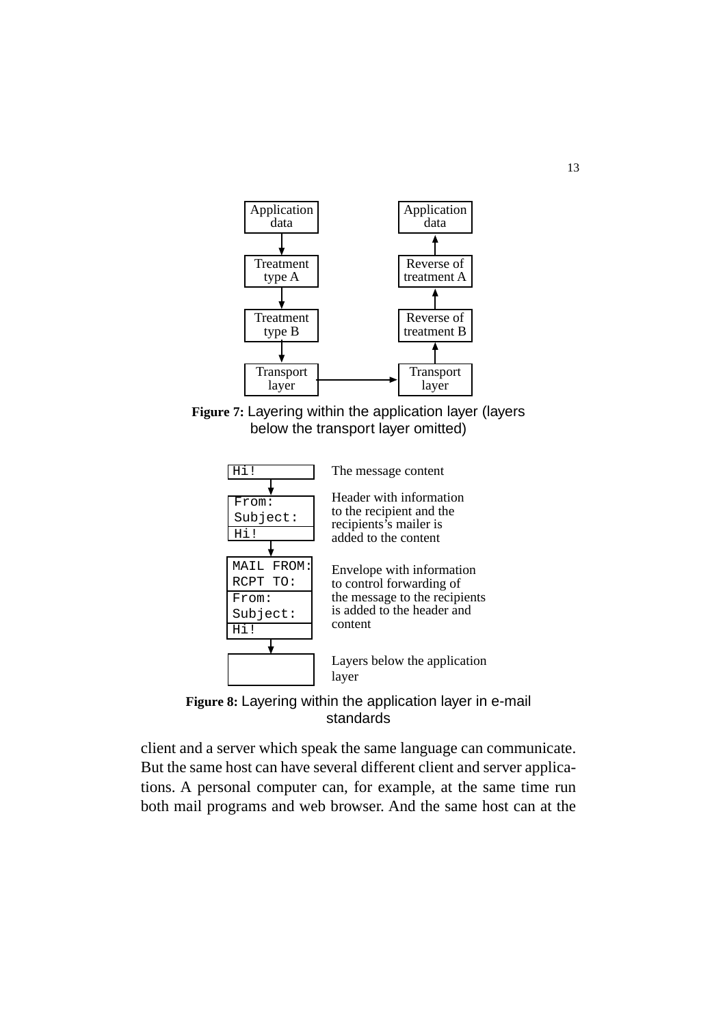







client and a server which speak the same language can communicate. But the same host can have several different client and server applications. A personal computer can, for example, at the same time run both mail programs and web browser. And the same host can at the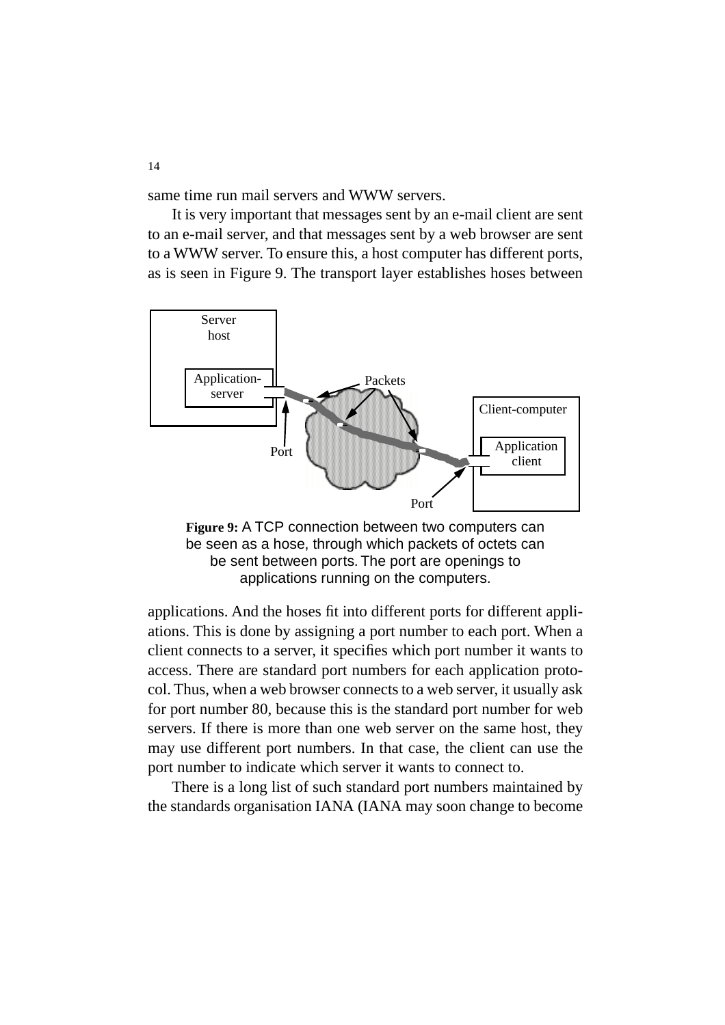same time run mail servers and WWW servers.

It is very important that messages sent by an e-mail client are sent to an e-mail server, and that messages sent by a web browser are sent to a WWW server. To ensure this, a host computer has different ports, as is seen in Figure 9. The transport layer establishes hoses between





applications. And the hoses fit into different ports for different appliations. This is done by assigning a port number to each port. When a client connects to a server, it specifies which port number it wants to access. There are standard port numbers for each application protocol. Thus, when a web browser connects to a web server, it usually ask for port number 80, because this is the standard port number for web servers. If there is more than one web server on the same host, they may use different port numbers. In that case, the client can use the port number to indicate which server it wants to connect to.

There is a long list of such standard port numbers maintained by the standards organisation IANA (IANA may soon change to become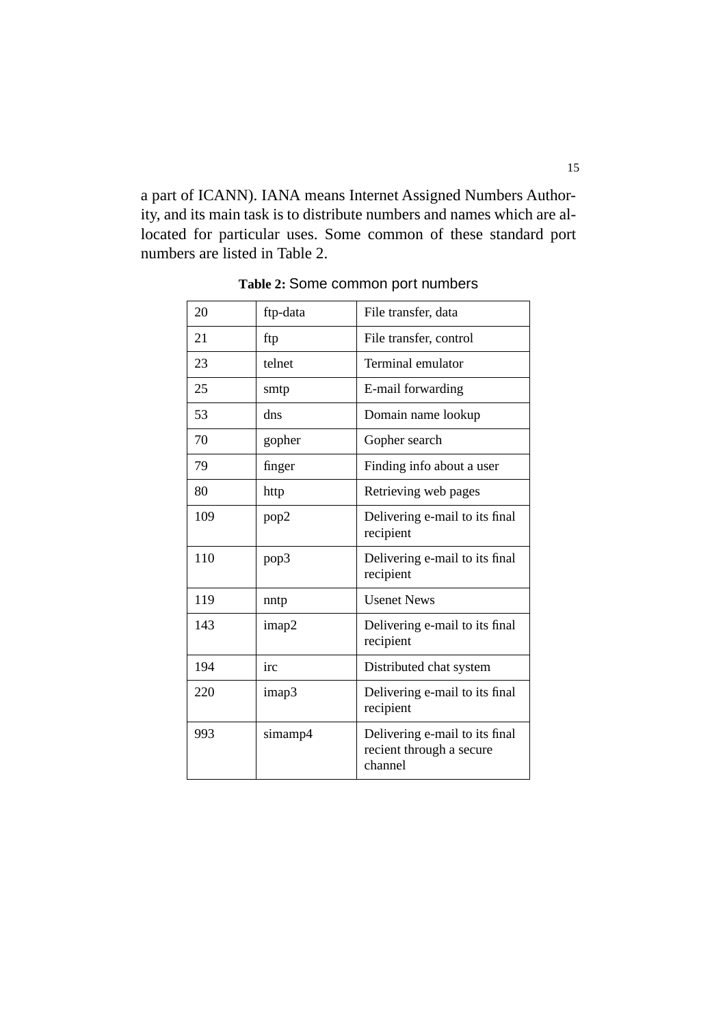a part of ICANN). IANA means Internet Assigned Numbers Authority, and its main task is to distribute numbers and names which are allocated for particular uses. Some common of these standard port numbers are listed in Table 2.

| 20  | ftp-data | File transfer, data                                                   |
|-----|----------|-----------------------------------------------------------------------|
| 21  | ftp      | File transfer, control                                                |
| 23  | telnet   | Terminal emulator                                                     |
| 25  | smtp     | E-mail forwarding                                                     |
| 53  | dns      | Domain name lookup                                                    |
| 70  | gopher   | Gopher search                                                         |
| 79  | finger   | Finding info about a user                                             |
| 80  | http     | Retrieving web pages                                                  |
| 109 | pop2     | Delivering e-mail to its final<br>recipient                           |
| 110 | pop3     | Delivering e-mail to its final<br>recipient                           |
| 119 | nntp     | <b>Usenet News</b>                                                    |
| 143 | imap2    | Delivering e-mail to its final<br>recipient                           |
| 194 | irc      | Distributed chat system                                               |
| 220 | imap3    | Delivering e-mail to its final<br>recipient                           |
| 993 | simamp4  | Delivering e-mail to its final<br>recient through a secure<br>channel |

**Table 2:** Some common port numbers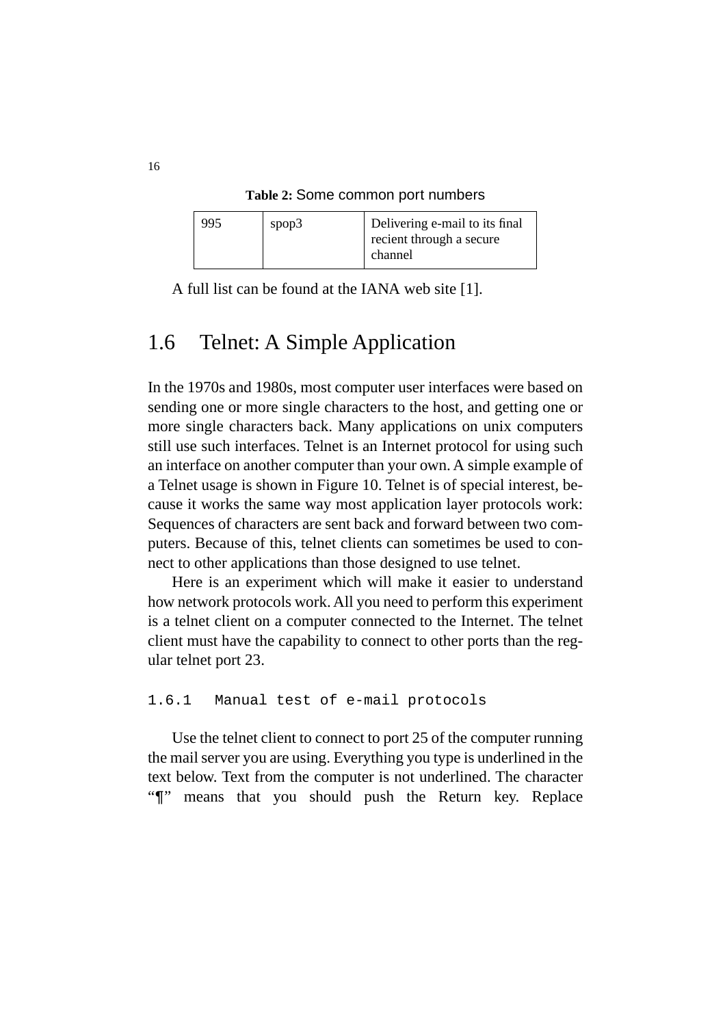**Table 2:** Some common port numbers

| 995 | spop3 | Delivering e-mail to its final |
|-----|-------|--------------------------------|
|     |       | recient through a secure       |
|     |       | channel                        |

A full list can be found at the IANA web site [1].

### 1.6 Telnet: A Simple Application

In the 1970s and 1980s, most computer user interfaces were based on sending one or more single characters to the host, and getting one or more single characters back. Many applications on unix computers still use such interfaces. Telnet is an Internet protocol for using such an interface on another computer than your own. A simple example of a Telnet usage is shown in Figure 10. Telnet is of special interest, because it works the same way most application layer protocols work: Sequences of characters are sent back and forward between two computers. Because of this, telnet clients can sometimes be used to connect to other applications than those designed to use telnet.

Here is an experiment which will make it easier to understand how network protocols work. All you need to perform this experiment is a telnet client on a computer connected to the Internet. The telnet client must have the capability to connect to other ports than the regular telnet port 23.

1.6.1 Manual test of e-mail protocols

Use the telnet client to connect to port 25 of the computer running the mail server you are using. Everything you type is underlined in the text below. Text from the computer is not underlined. The character "¶" means that you should push the Return key. Replace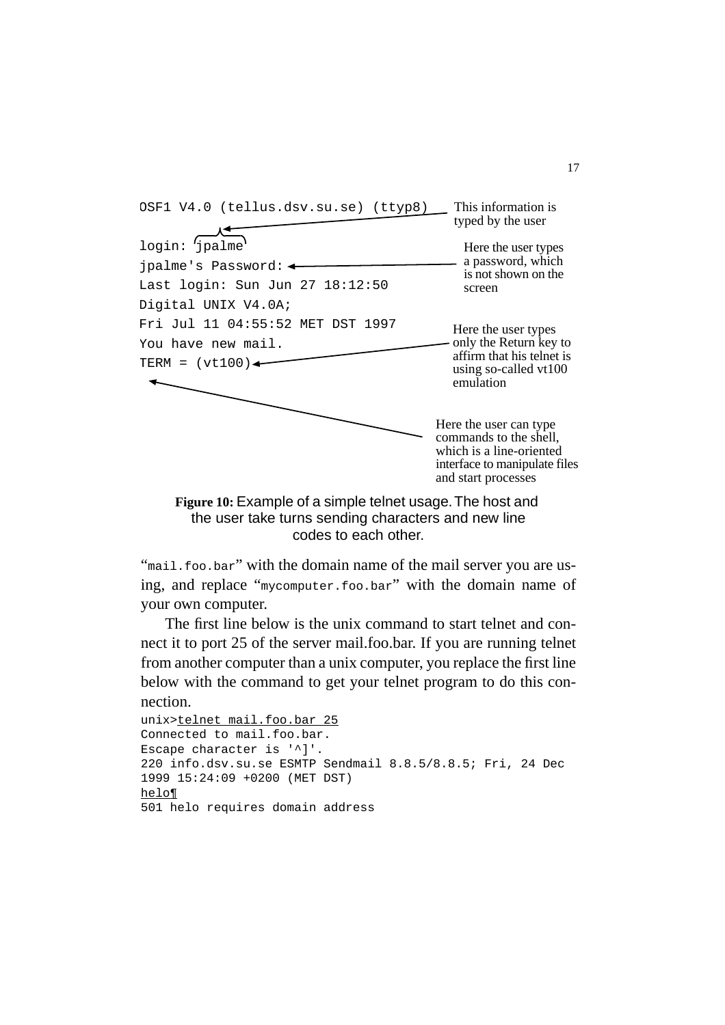

**Figure 10:** Example of a simple telnet usage. The host and the user take turns sending characters and new line codes to each other.

"mail.foo.bar" with the domain name of the mail server you are using, and replace "mycomputer.foo.bar" with the domain name of your own computer.

The first line below is the unix command to start telnet and connect it to port 25 of the server mail.foo.bar. If you are running telnet from another computer than a unix computer, you replace the first line below with the command to get your telnet program to do this connection.

```
unix>telnet mail.foo.bar 25
Connected to mail.foo.bar.
Escape character is '^]'.
220 info.dsv.su.se ESMTP Sendmail 8.8.5/8.8.5; Fri, 24 Dec 
1999 15:24:09 +0200 (MET DST)
helo¶
501 helo requires domain address
```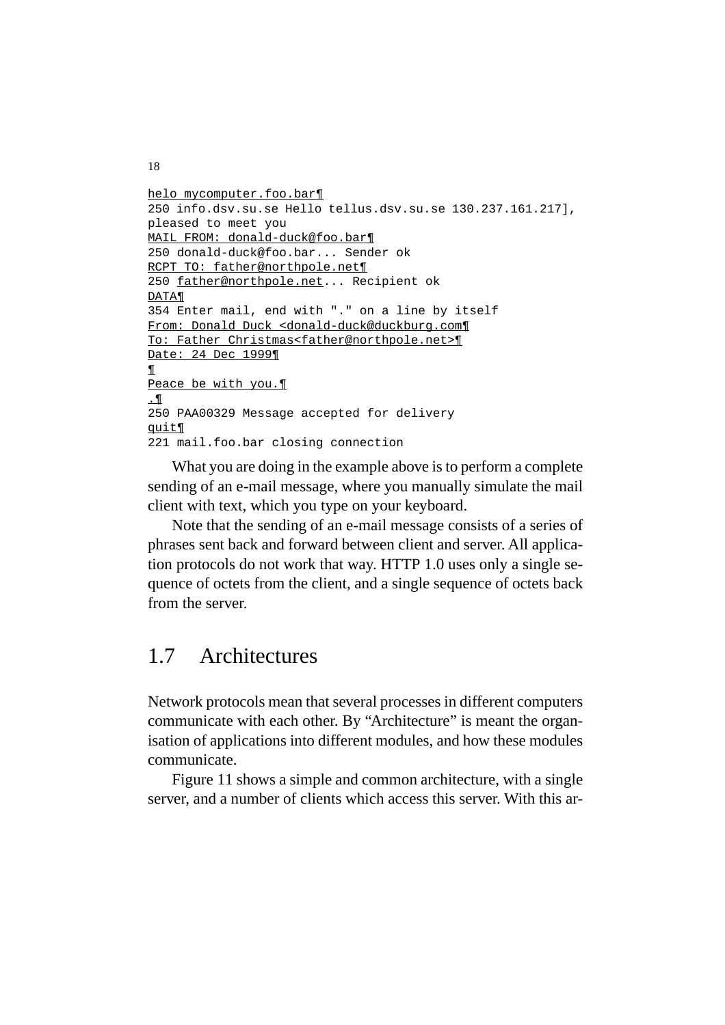```
helo mycomputer.foo.bar¶
250 info.dsv.su.se Hello tellus.dsv.su.se 130.237.161.217], 
pleased to meet you
MAIL FROM: donald-duck@foo.bar¶
250 donald-duck@foo.bar... Sender ok
RCPT TO: father@northpole.net¶
250 father@northpole.net... Recipient ok
DATA¶
354 Enter mail, end with "." on a line by itself
From: Donald Duck <donald-duck@duckburg.com¶
To: Father Christmas<father@northpole.net>¶
Date: 24 Dec 1999¶
¶
Peace be with you.¶
\mathbf{P}.
250 PAA00329 Message accepted for delivery
quit¶
221 mail.foo.bar closing connection
```
What you are doing in the example above is to perform a complete sending of an e-mail message, where you manually simulate the mail client with text, which you type on your keyboard.

Note that the sending of an e-mail message consists of a series of phrases sent back and forward between client and server. All application protocols do not work that way. HTTP 1.0 uses only a single sequence of octets from the client, and a single sequence of octets back from the server.

# 1.7 Architectures

Network protocols mean that several processes in different computers communicate with each other. By "Architecture" is meant the organisation of applications into different modules, and how these modules communicate.

Figure 11 shows a simple and common architecture, with a single server, and a number of clients which access this server. With this ar-

```
18
```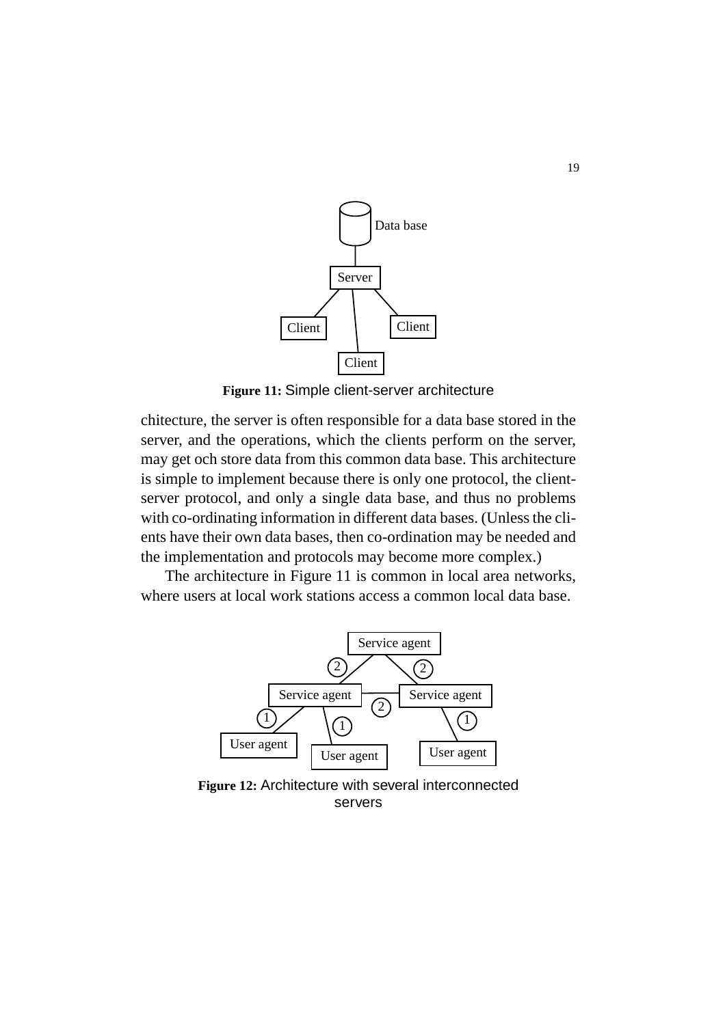

**Figure 11:** Simple client-server architecture

chitecture, the server is often responsible for a data base stored in the server, and the operations, which the clients perform on the server, may get och store data from this common data base. This architecture is simple to implement because there is only one protocol, the clientserver protocol, and only a single data base, and thus no problems with co-ordinating information in different data bases. (Unless the clients have their own data bases, then co-ordination may be needed and the implementation and protocols may become more complex.)

The architecture in Figure 11 is common in local area networks, where users at local work stations access a common local data base.



**Figure 12:** Architecture with several interconnected servers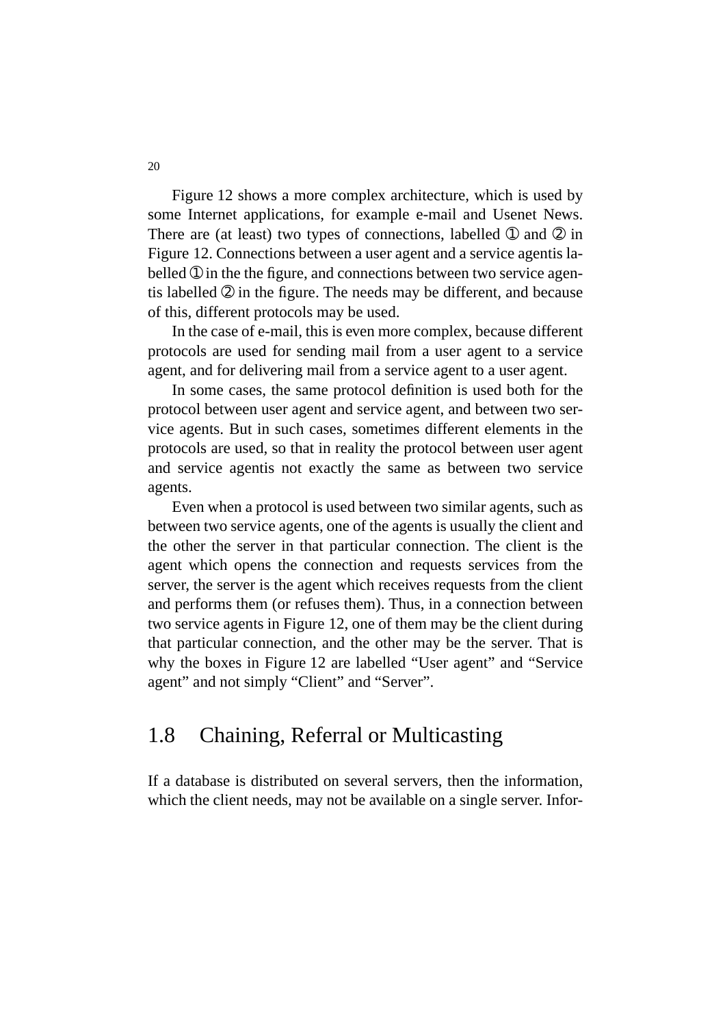Figure 12 shows a more complex architecture, which is used by some Internet applications, for example e-mail and Usenet News. There are (at least) two types of connections, labelled  $\Phi$  and  $\Phi$  in Figure 12. Connections between a user agent and a service agentis labelled  $\odot$  in the the figure, and connections between two service agentis labelled ➁ in the figure. The needs may be different, and because of this, different protocols may be used.

In the case of e-mail, this is even more complex, because different protocols are used for sending mail from a user agent to a service agent, and for delivering mail from a service agent to a user agent.

In some cases, the same protocol definition is used both for the protocol between user agent and service agent, and between two service agents. But in such cases, sometimes different elements in the protocols are used, so that in reality the protocol between user agent and service agentis not exactly the same as between two service agents.

Even when a protocol is used between two similar agents, such as between two service agents, one of the agents is usually the client and the other the server in that particular connection. The client is the agent which opens the connection and requests services from the server, the server is the agent which receives requests from the client and performs them (or refuses them). Thus, in a connection between two service agents in Figure 12, one of them may be the client during that particular connection, and the other may be the server. That is why the boxes in Figure 12 are labelled "User agent" and "Service agent" and not simply "Client" and "Server".

## 1.8 Chaining, Referral or Multicasting

If a database is distributed on several servers, then the information, which the client needs, may not be available on a single server. Infor-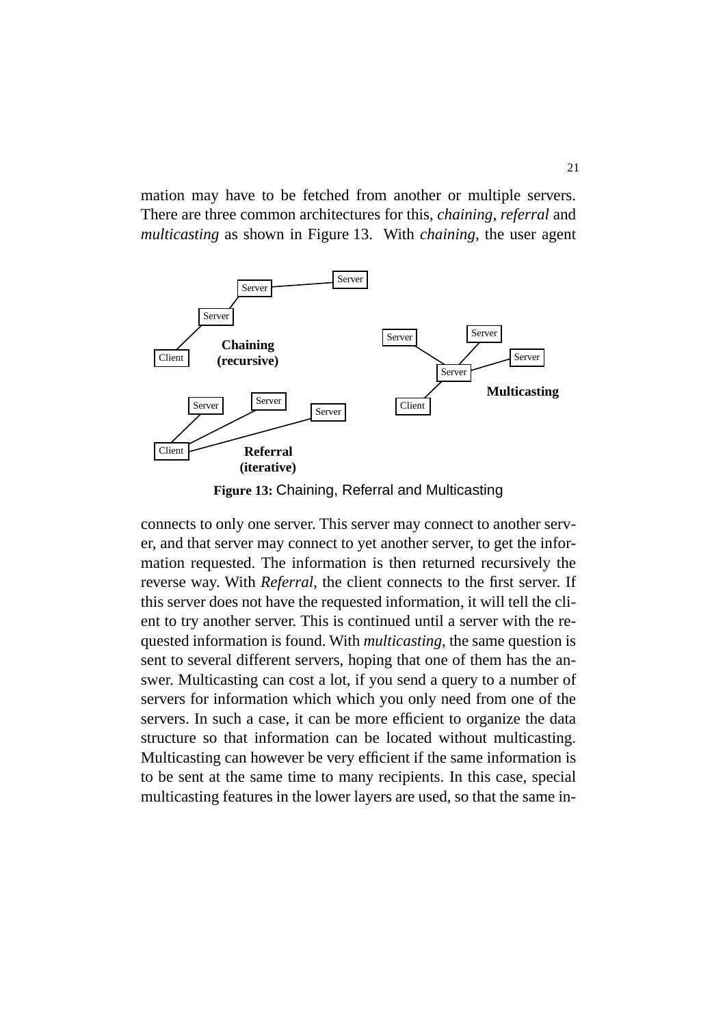mation may have to be fetched from another or multiple servers. There are three common architectures for this, *chaining*, *referral* and *multicasting* as shown in Figure 13. With *chaining*, the user agent



**Figure 13:** Chaining, Referral and Multicasting

connects to only one server. This server may connect to another server, and that server may connect to yet another server, to get the information requested. The information is then returned recursively the reverse way. With *Referral*, the client connects to the first server. If this server does not have the requested information, it will tell the client to try another server. This is continued until a server with the requested information is found. With *multicasting*, the same question is sent to several different servers, hoping that one of them has the answer. Multicasting can cost a lot, if you send a query to a number of servers for information which which you only need from one of the servers. In such a case, it can be more efficient to organize the data structure so that information can be located without multicasting. Multicasting can however be very efficient if the same information is to be sent at the same time to many recipients. In this case, special multicasting features in the lower layers are used, so that the same in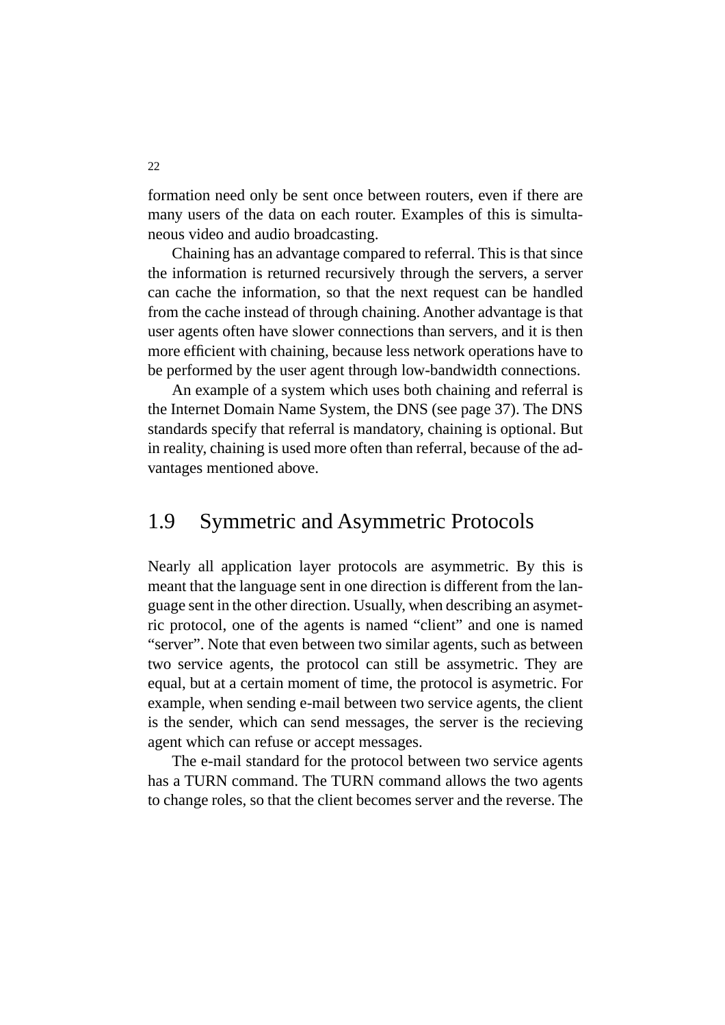formation need only be sent once between routers, even if there are many users of the data on each router. Examples of this is simultaneous video and audio broadcasting.

Chaining has an advantage compared to referral. This is that since the information is returned recursively through the servers, a server can cache the information, so that the next request can be handled from the cache instead of through chaining. Another advantage is that user agents often have slower connections than servers, and it is then more efficient with chaining, because less network operations have to be performed by the user agent through low-bandwidth connections.

An example of a system which uses both chaining and referral is the Internet Domain Name System, the DNS (see page 37). The DNS standards specify that referral is mandatory, chaining is optional. But in reality, chaining is used more often than referral, because of the advantages mentioned above.

#### 1.9 Symmetric and Asymmetric Protocols

Nearly all application layer protocols are asymmetric. By this is meant that the language sent in one direction is different from the language sent in the other direction. Usually, when describing an asymetric protocol, one of the agents is named "client" and one is named "server". Note that even between two similar agents, such as between two service agents, the protocol can still be assymetric. They are equal, but at a certain moment of time, the protocol is asymetric. For example, when sending e-mail between two service agents, the client is the sender, which can send messages, the server is the recieving agent which can refuse or accept messages.

The e-mail standard for the protocol between two service agents has a TURN command. The TURN command allows the two agents to change roles, so that the client becomes server and the reverse. The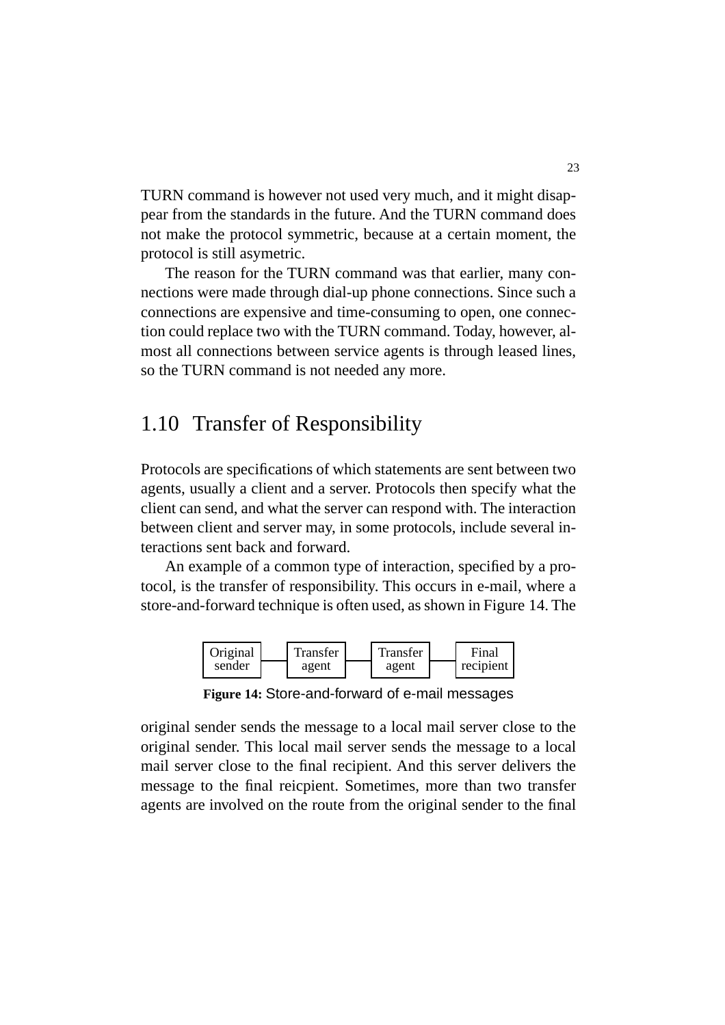TURN command is however not used very much, and it might disappear from the standards in the future. And the TURN command does not make the protocol symmetric, because at a certain moment, the protocol is still asymetric.

The reason for the TURN command was that earlier, many connections were made through dial-up phone connections. Since such a connections are expensive and time-consuming to open, one connection could replace two with the TURN command. Today, however, almost all connections between service agents is through leased lines, so the TURN command is not needed any more.

# 1.10 Transfer of Responsibility

Protocols are specifications of which statements are sent between two agents, usually a client and a server. Protocols then specify what the client can send, and what the server can respond with. The interaction between client and server may, in some protocols, include several interactions sent back and forward.

An example of a common type of interaction, specified by a protocol, is the transfer of responsibility. This occurs in e-mail, where a store-and-forward technique is often used, as shown in Figure 14. The



**Figure 14:** Store-and-forward of e-mail messages

original sender sends the message to a local mail server close to the original sender. This local mail server sends the message to a local mail server close to the final recipient. And this server delivers the message to the final reicpient. Sometimes, more than two transfer agents are involved on the route from the original sender to the final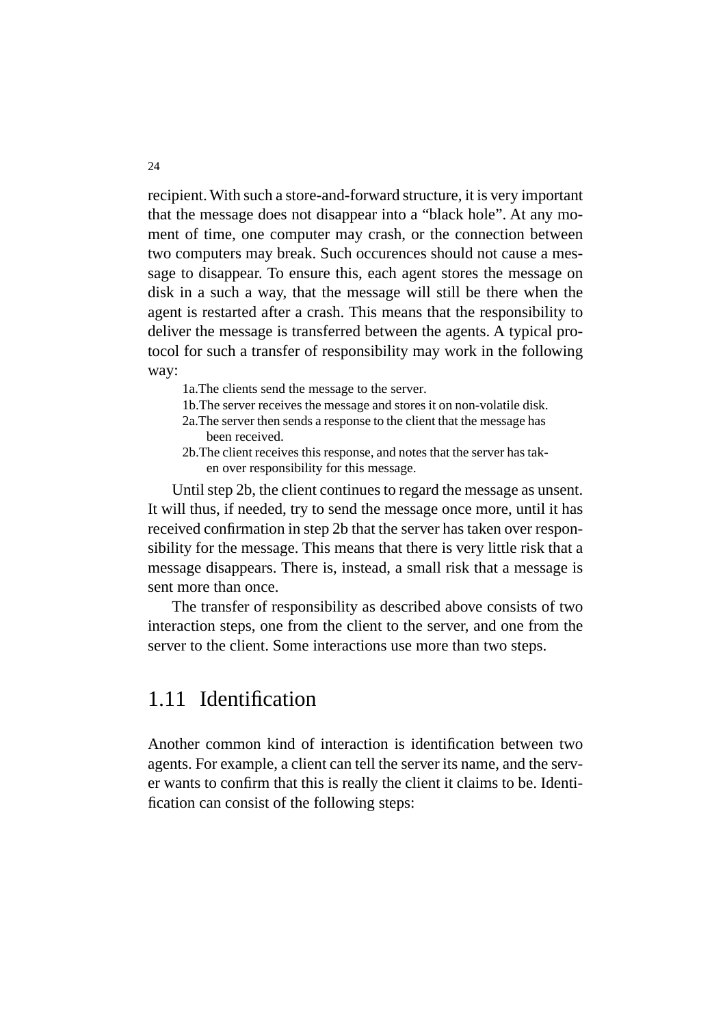recipient. With such a store-and-forward structure, it is very important that the message does not disappear into a "black hole". At any moment of time, one computer may crash, or the connection between two computers may break. Such occurences should not cause a message to disappear. To ensure this, each agent stores the message on disk in a such a way, that the message will still be there when the agent is restarted after a crash. This means that the responsibility to deliver the message is transferred between the agents. A typical protocol for such a transfer of responsibility may work in the following way:

- 1a.The clients send the message to the server.
- 1b.The server receives the message and stores it on non-volatile disk.
- 2a.The server then sends a response to the client that the message has been received.
- 2b.The client receives this response, and notes that the server has taken over responsibility for this message.

Until step 2b, the client continues to regard the message as unsent. It will thus, if needed, try to send the message once more, until it has received confirmation in step 2b that the server has taken over responsibility for the message. This means that there is very little risk that a message disappears. There is, instead, a small risk that a message is sent more than once.

The transfer of responsibility as described above consists of two interaction steps, one from the client to the server, and one from the server to the client. Some interactions use more than two steps.

#### 1.11 Identification

Another common kind of interaction is identification between two agents. For example, a client can tell the server its name, and the server wants to confirm that this is really the client it claims to be. Identification can consist of the following steps: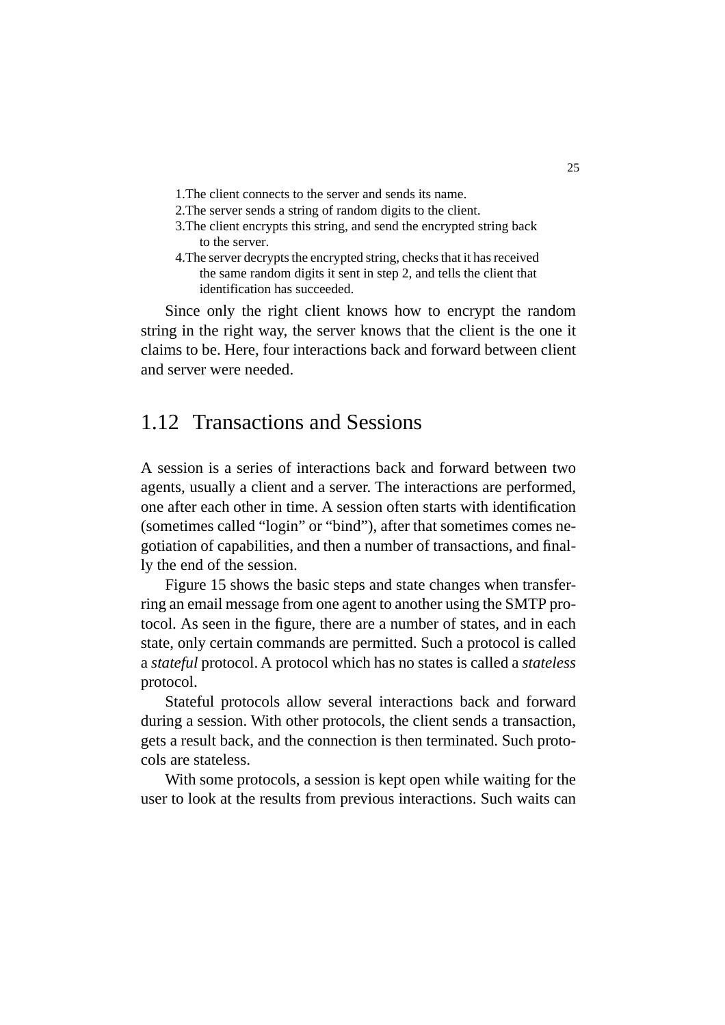- 1.The client connects to the server and sends its name.
- 2.The server sends a string of random digits to the client.
- 3.The client encrypts this string, and send the encrypted string back to the server.
- 4.The server decrypts the encrypted string, checks that it has received the same random digits it sent in step 2, and tells the client that identification has succeeded.

Since only the right client knows how to encrypt the random string in the right way, the server knows that the client is the one it claims to be. Here, four interactions back and forward between client and server were needed.

# 1.12 Transactions and Sessions

A session is a series of interactions back and forward between two agents, usually a client and a server. The interactions are performed, one after each other in time. A session often starts with identification (sometimes called "login" or "bind"), after that sometimes comes negotiation of capabilities, and then a number of transactions, and finally the end of the session.

Figure 15 shows the basic steps and state changes when transferring an email message from one agent to another using the SMTP protocol. As seen in the figure, there are a number of states, and in each state, only certain commands are permitted. Such a protocol is called a *stateful* protocol. A protocol which has no states is called a *stateless* protocol.

Stateful protocols allow several interactions back and forward during a session. With other protocols, the client sends a transaction, gets a result back, and the connection is then terminated. Such protocols are stateless.

With some protocols, a session is kept open while waiting for the user to look at the results from previous interactions. Such waits can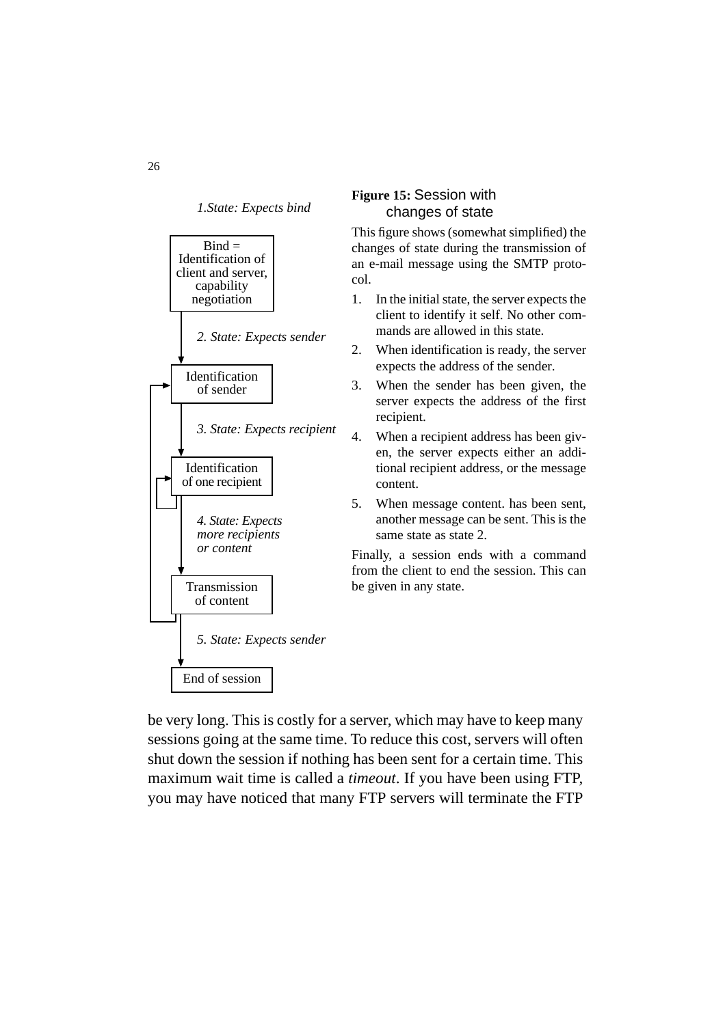*1.State: Expects bind*



#### **Figure 15:** Session with changes of state

This figure shows (somewhat simplified) the changes of state during the transmission of an e-mail message using the SMTP protocol.

- 1. In the initial state, the server expects the client to identify it self. No other commands are allowed in this state.
- 2. When identification is ready, the server expects the address of the sender.
- 3. When the sender has been given, the server expects the address of the first recipient.
- 4. When a recipient address has been given, the server expects either an additional recipient address, or the message content.
- 5. When message content. has been sent, another message can be sent. This is the same state as state 2.

Finally, a session ends with a command from the client to end the session. This can be given in any state.

be very long. This is costly for a server, which may have to keep many sessions going at the same time. To reduce this cost, servers will often shut down the session if nothing has been sent for a certain time. This maximum wait time is called a *timeout*. If you have been using FTP, you may have noticed that many FTP servers will terminate the FTP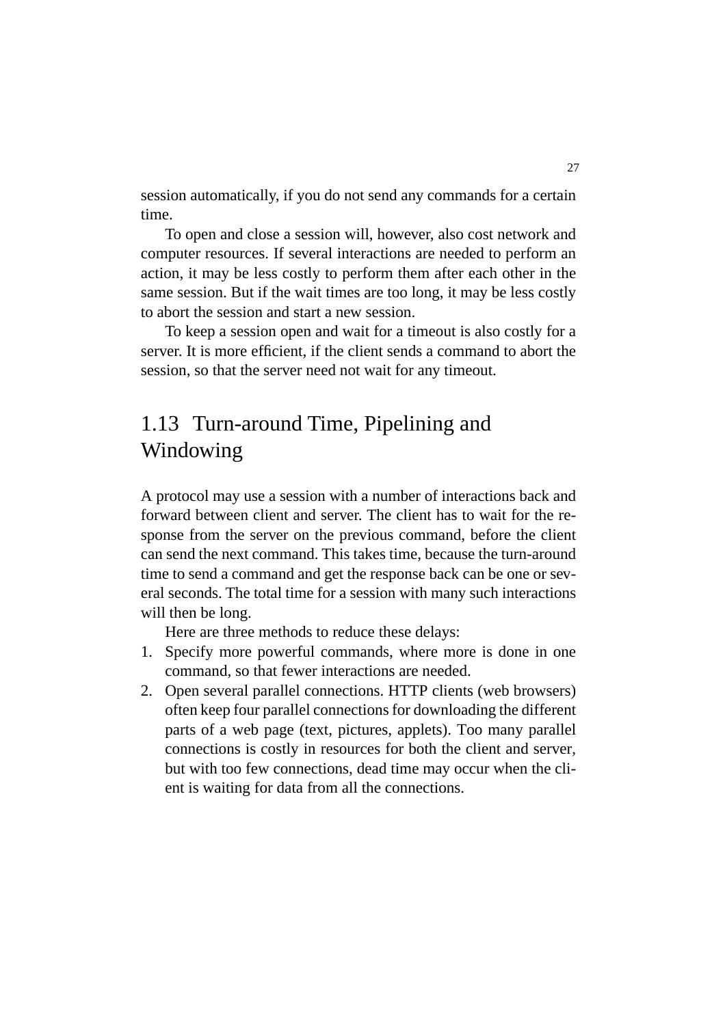session automatically, if you do not send any commands for a certain time.

To open and close a session will, however, also cost network and computer resources. If several interactions are needed to perform an action, it may be less costly to perform them after each other in the same session. But if the wait times are too long, it may be less costly to abort the session and start a new session.

To keep a session open and wait for a timeout is also costly for a server. It is more efficient, if the client sends a command to abort the session, so that the server need not wait for any timeout.

# 1.13 Turn-around Time, Pipelining and Windowing

A protocol may use a session with a number of interactions back and forward between client and server. The client has to wait for the response from the server on the previous command, before the client can send the next command. This takes time, because the turn-around time to send a command and get the response back can be one or several seconds. The total time for a session with many such interactions will then be long.

Here are three methods to reduce these delays:

- 1. Specify more powerful commands, where more is done in one command, so that fewer interactions are needed.
- 2. Open several parallel connections. HTTP clients (web browsers) often keep four parallel connections for downloading the different parts of a web page (text, pictures, applets). Too many parallel connections is costly in resources for both the client and server, but with too few connections, dead time may occur when the client is waiting for data from all the connections.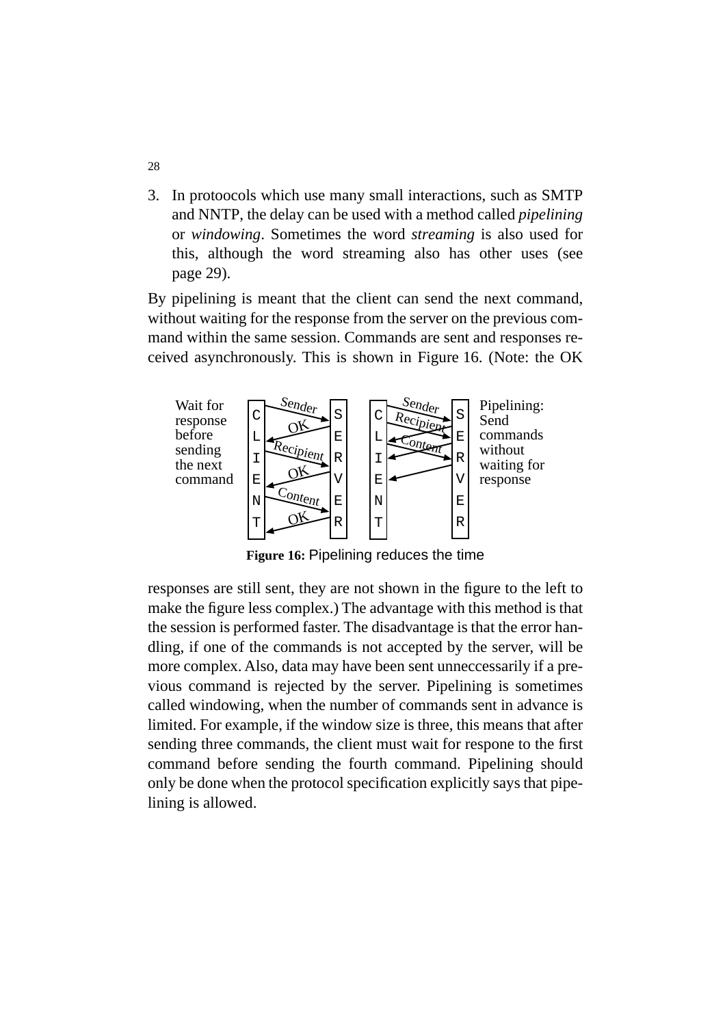3. In protoocols which use many small interactions, such as SMTP and NNTP, the delay can be used with a method called *pipelining* or *windowing*. Sometimes the word *streaming* is also used for this, although the word streaming also has other uses (see page 29).

By pipelining is meant that the client can send the next command, without waiting for the response from the server on the previous command within the same session. Commands are sent and responses received asynchronously. This is shown in Figure 16. (Note: the OK



**Figure 16:** Pipelining reduces the time

responses are still sent, they are not shown in the figure to the left to make the figure less complex.) The advantage with this method is that the session is performed faster. The disadvantage is that the error handling, if one of the commands is not accepted by the server, will be more complex. Also, data may have been sent unneccessarily if a previous command is rejected by the server. Pipelining is sometimes called windowing, when the number of commands sent in advance is limited. For example, if the window size is three, this means that after sending three commands, the client must wait for respone to the first command before sending the fourth command. Pipelining should only be done when the protocol specification explicitly says that pipelining is allowed.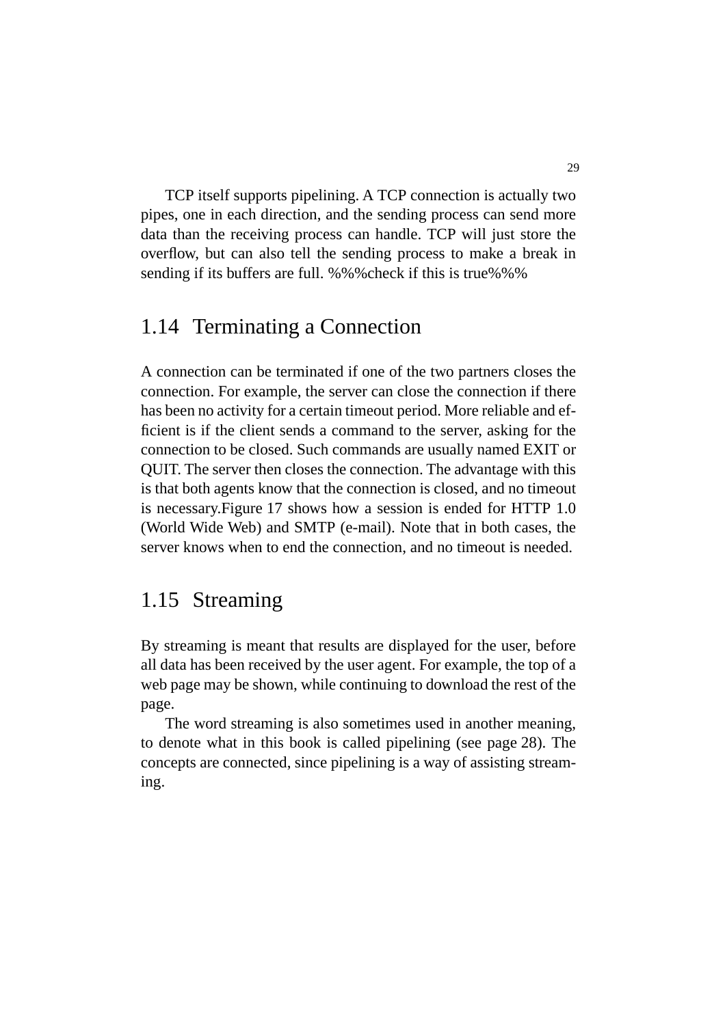TCP itself supports pipelining. A TCP connection is actually two pipes, one in each direction, and the sending process can send more data than the receiving process can handle. TCP will just store the overflow, but can also tell the sending process to make a break in sending if its buffers are full. %%%check if this is true%%%

#### 1.14 Terminating a Connection

A connection can be terminated if one of the two partners closes the connection. For example, the server can close the connection if there has been no activity for a certain timeout period. More reliable and efficient is if the client sends a command to the server, asking for the connection to be closed. Such commands are usually named EXIT or QUIT. The server then closes the connection. The advantage with this is that both agents know that the connection is closed, and no timeout is necessary.Figure 17 shows how a session is ended for HTTP 1.0 (World Wide Web) and SMTP (e-mail). Note that in both cases, the server knows when to end the connection, and no timeout is needed.

# 1.15 Streaming

By streaming is meant that results are displayed for the user, before all data has been received by the user agent. For example, the top of a web page may be shown, while continuing to download the rest of the page.

The word streaming is also sometimes used in another meaning, to denote what in this book is called pipelining (see page 28). The concepts are connected, since pipelining is a way of assisting streaming.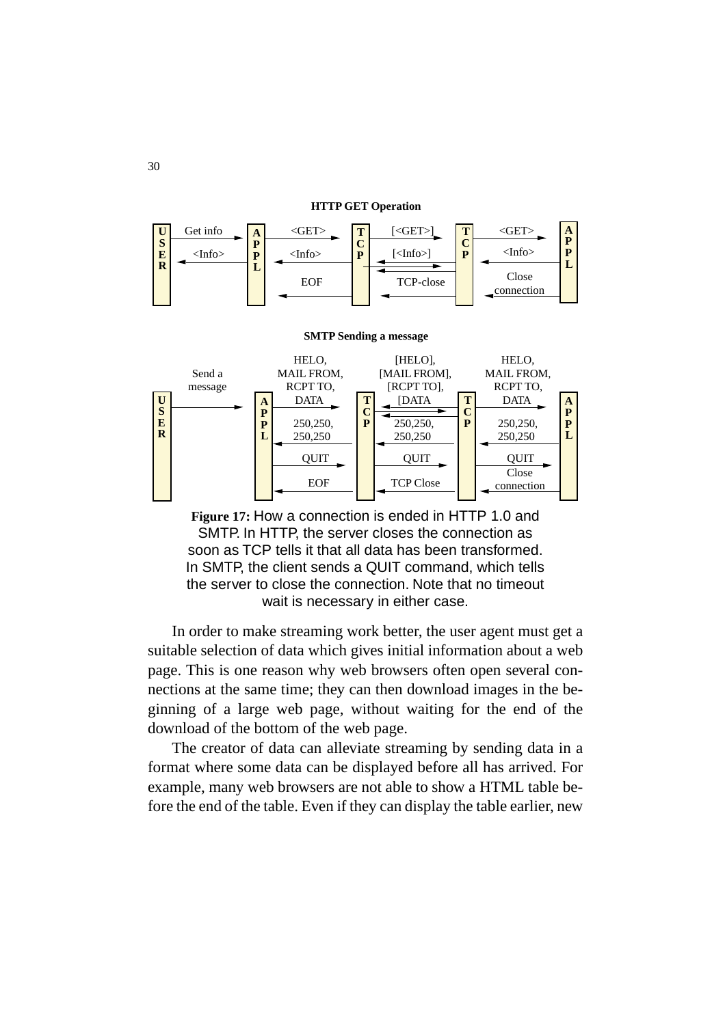#### **HTTP GET Operation**





**Figure 17:** How a connection is ended in HTTP 1.0 and SMTP. In HTTP, the server closes the connection as soon as TCP tells it that all data has been transformed. In SMTP, the client sends a QUIT command, which tells the server to close the connection. Note that no timeout wait is necessary in either case.

In order to make streaming work better, the user agent must get a suitable selection of data which gives initial information about a web page. This is one reason why web browsers often open several connections at the same time; they can then download images in the beginning of a large web page, without waiting for the end of the download of the bottom of the web page.

The creator of data can alleviate streaming by sending data in a format where some data can be displayed before all has arrived. For example, many web browsers are not able to show a HTML table before the end of the table. Even if they can display the table earlier, new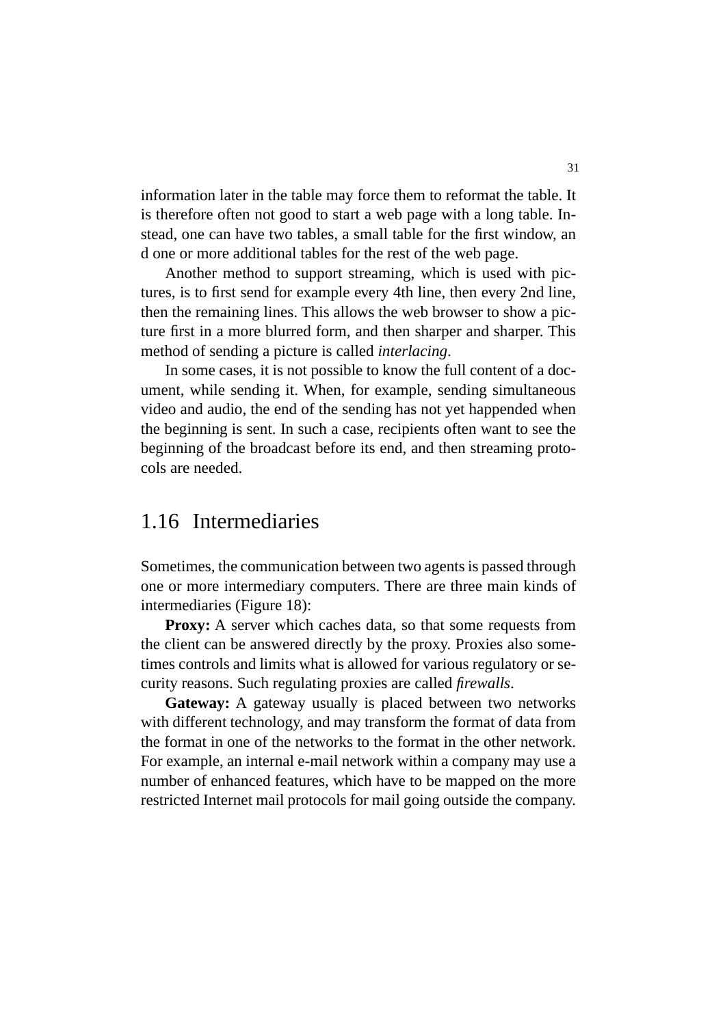information later in the table may force them to reformat the table. It is therefore often not good to start a web page with a long table. Instead, one can have two tables, a small table for the first window, an d one or more additional tables for the rest of the web page.

Another method to support streaming, which is used with pictures, is to first send for example every 4th line, then every 2nd line, then the remaining lines. This allows the web browser to show a picture first in a more blurred form, and then sharper and sharper. This method of sending a picture is called *interlacing*.

In some cases, it is not possible to know the full content of a document, while sending it. When, for example, sending simultaneous video and audio, the end of the sending has not yet happended when the beginning is sent. In such a case, recipients often want to see the beginning of the broadcast before its end, and then streaming protocols are needed.

#### 1.16 Intermediaries

Sometimes, the communication between two agents is passed through one or more intermediary computers. There are three main kinds of intermediaries (Figure 18):

**Proxy:** A server which caches data, so that some requests from the client can be answered directly by the proxy. Proxies also sometimes controls and limits what is allowed for various regulatory or security reasons. Such regulating proxies are called *firewalls*.

Gateway: A gateway usually is placed between two networks with different technology, and may transform the format of data from the format in one of the networks to the format in the other network. For example, an internal e-mail network within a company may use a number of enhanced features, which have to be mapped on the more restricted Internet mail protocols for mail going outside the company.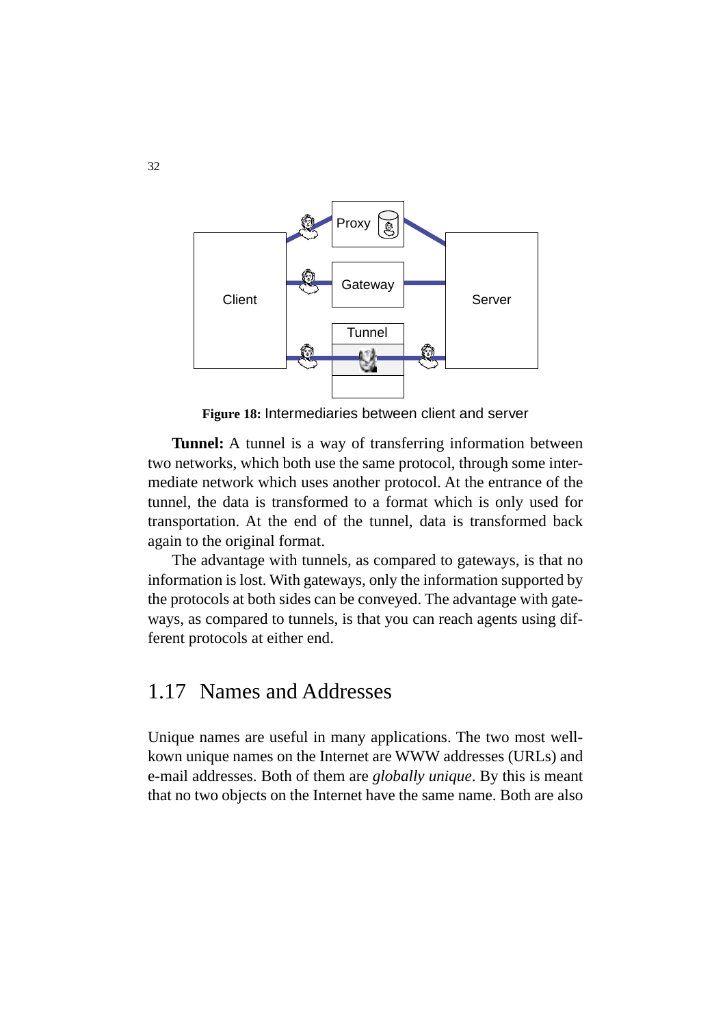

**Figure 18:** Intermediaries between client and server

**Tunnel:** A tunnel is a way of transferring information between two networks, which both use the same protocol, through some intermediate network which uses another protocol. At the entrance of the tunnel, the data is transformed to a format which is only used for transportation. At the end of the tunnel, data is transformed back again to the original format.

The advantage with tunnels, as compared to gateways, is that no information is lost. With gateways, only the information supported by the protocols at both sides can be conveyed. The advantage with gateways, as compared to tunnels, is that you can reach agents using different protocols at either end.

#### 1.17 Names and Addresses

Unique names are useful in many applications. The two most wellkown unique names on the Internet are WWW addresses (URLs) and e-mail addresses. Both of them are *globally unique*. By this is meant that no two objects on the Internet have the same name. Both are also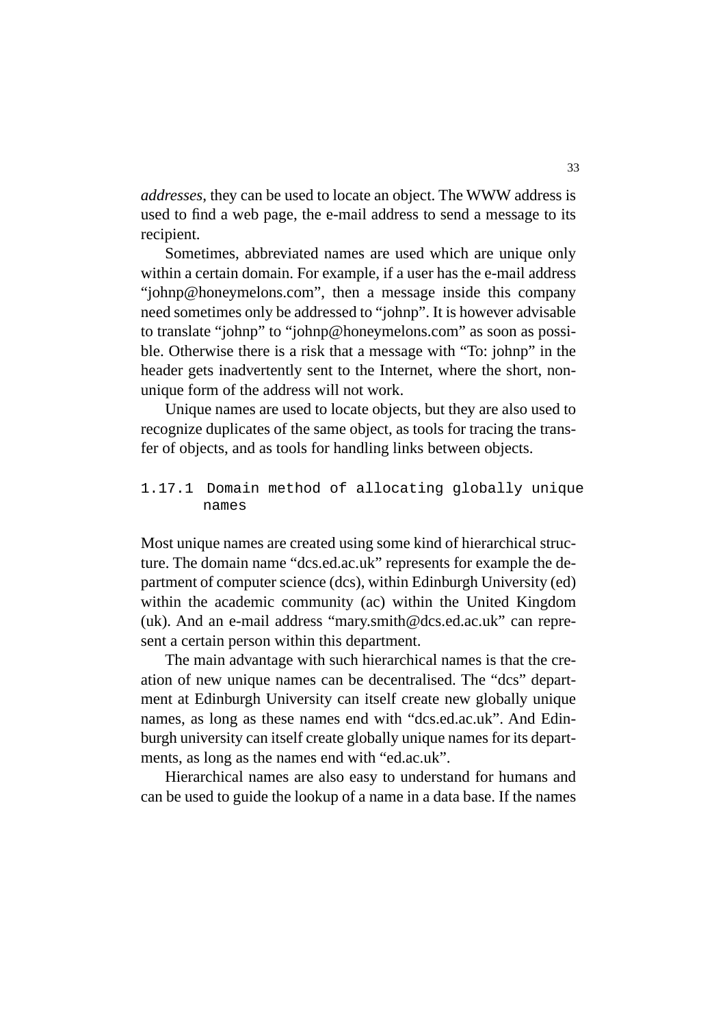*addresses*, they can be used to locate an object. The WWW address is used to find a web page, the e-mail address to send a message to its recipient.

Sometimes, abbreviated names are used which are unique only within a certain domain. For example, if a user has the e-mail address "johnp@honeymelons.com", then a message inside this company need sometimes only be addressed to "johnp". It is however advisable to translate "johnp" to "johnp@honeymelons.com" as soon as possible. Otherwise there is a risk that a message with "To: johnp" in the header gets inadvertently sent to the Internet, where the short, nonunique form of the address will not work.

Unique names are used to locate objects, but they are also used to recognize duplicates of the same object, as tools for tracing the transfer of objects, and as tools for handling links between objects.

#### 1.17.1 Domain method of allocating globally unique names

Most unique names are created using some kind of hierarchical structure. The domain name "dcs.ed.ac.uk" represents for example the department of computer science (dcs), within Edinburgh University (ed) within the academic community (ac) within the United Kingdom (uk). And an e-mail address "mary.smith@dcs.ed.ac.uk" can represent a certain person within this department.

The main advantage with such hierarchical names is that the creation of new unique names can be decentralised. The "dcs" department at Edinburgh University can itself create new globally unique names, as long as these names end with "dcs.ed.ac.uk". And Edinburgh university can itself create globally unique names for its departments, as long as the names end with "ed.ac.uk".

Hierarchical names are also easy to understand for humans and can be used to guide the lookup of a name in a data base. If the names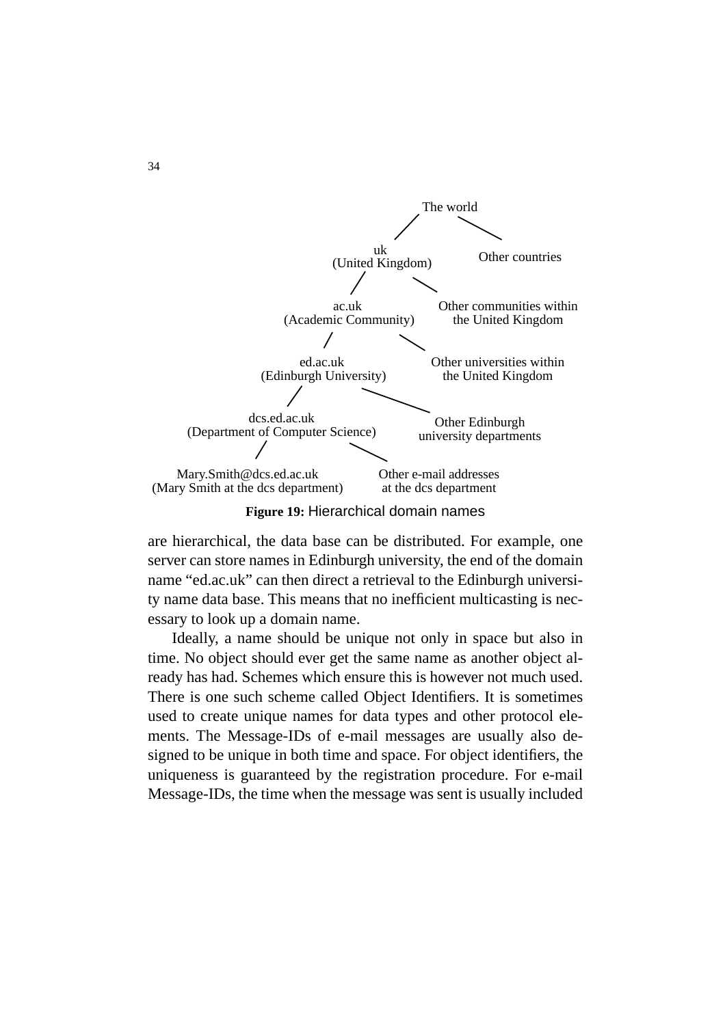

**Figure 19:** Hierarchical domain names

are hierarchical, the data base can be distributed. For example, one server can store names in Edinburgh university, the end of the domain name "ed.ac.uk" can then direct a retrieval to the Edinburgh university name data base. This means that no inefficient multicasting is necessary to look up a domain name.

Ideally, a name should be unique not only in space but also in time. No object should ever get the same name as another object already has had. Schemes which ensure this is however not much used. There is one such scheme called Object Identifiers. It is sometimes used to create unique names for data types and other protocol elements. The Message-IDs of e-mail messages are usually also designed to be unique in both time and space. For object identifiers, the uniqueness is guaranteed by the registration procedure. For e-mail Message-IDs, the time when the message was sent is usually included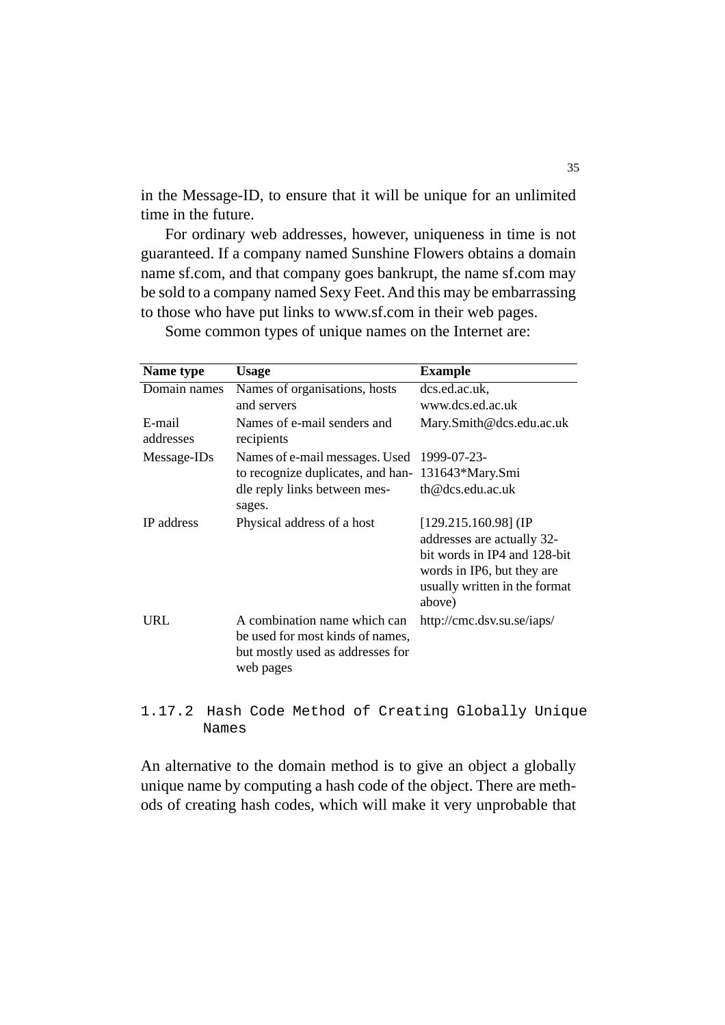in the Message-ID, to ensure that it will be unique for an unlimited time in the future.

For ordinary web addresses, however, uniqueness in time is not guaranteed. If a company named Sunshine Flowers obtains a domain name sf.com, and that company goes bankrupt, the name sf.com may be sold to a company named Sexy Feet. And this may be embarrassing to those who have put links to www.sf.com in their web pages.

| Name type           | <b>Usage</b>                                                                                                      | <b>Example</b>                                                                                                                                                |
|---------------------|-------------------------------------------------------------------------------------------------------------------|---------------------------------------------------------------------------------------------------------------------------------------------------------------|
| Domain names        | Names of organisations, hosts                                                                                     | dcs.ed.ac.uk,                                                                                                                                                 |
|                     | and servers                                                                                                       | www.dcs.ed.ac.uk                                                                                                                                              |
| E-mail<br>addresses | Names of e-mail senders and<br>recipients                                                                         | Mary.Smith@dcs.edu.ac.uk                                                                                                                                      |
| Message-IDs         | Names of e-mail messages. Used                                                                                    | 1999-07-23-                                                                                                                                                   |
|                     | to recognize duplicates, and han-                                                                                 | 131643*Mary.Smi                                                                                                                                               |
|                     | dle reply links between mes-<br>sages.                                                                            | th@dcs.edu.ac.uk                                                                                                                                              |
| <b>IP</b> address   | Physical address of a host                                                                                        | $[129.215.160.98]$ (IP<br>addresses are actually 32-<br>bit words in IP4 and 128-bit<br>words in IP6, but they are<br>usually written in the format<br>above) |
| URL                 | A combination name which can<br>be used for most kinds of names,<br>but mostly used as addresses for<br>web pages | http://cmc.dsv.su.se/iaps/                                                                                                                                    |

Some common types of unique names on the Internet are:

1.17.2 Hash Code Method of Creating Globally Unique Names

An alternative to the domain method is to give an object a globally unique name by computing a hash code of the object. There are methods of creating hash codes, which will make it very unprobable that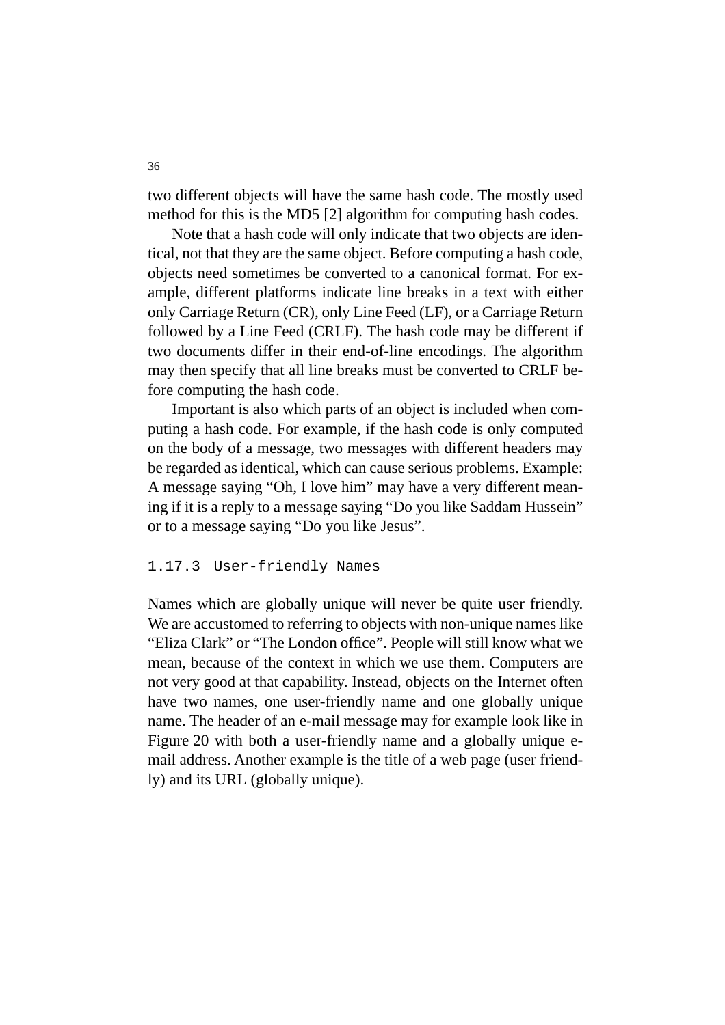two different objects will have the same hash code. The mostly used method for this is the MD5 [2] algorithm for computing hash codes.

Note that a hash code will only indicate that two objects are identical, not that they are the same object. Before computing a hash code, objects need sometimes be converted to a canonical format. For example, different platforms indicate line breaks in a text with either only Carriage Return (CR), only Line Feed (LF), or a Carriage Return followed by a Line Feed (CRLF). The hash code may be different if two documents differ in their end-of-line encodings. The algorithm may then specify that all line breaks must be converted to CRLF before computing the hash code.

Important is also which parts of an object is included when computing a hash code. For example, if the hash code is only computed on the body of a message, two messages with different headers may be regarded as identical, which can cause serious problems. Example: A message saying "Oh, I love him" may have a very different meaning if it is a reply to a message saying "Do you like Saddam Hussein" or to a message saying "Do you like Jesus".

#### 1.17.3 User-friendly Names

Names which are globally unique will never be quite user friendly. We are accustomed to referring to objects with non-unique names like "Eliza Clark" or "The London office". People will still know what we mean, because of the context in which we use them. Computers are not very good at that capability. Instead, objects on the Internet often have two names, one user-friendly name and one globally unique name. The header of an e-mail message may for example look like in Figure 20 with both a user-friendly name and a globally unique email address. Another example is the title of a web page (user friendly) and its URL (globally unique).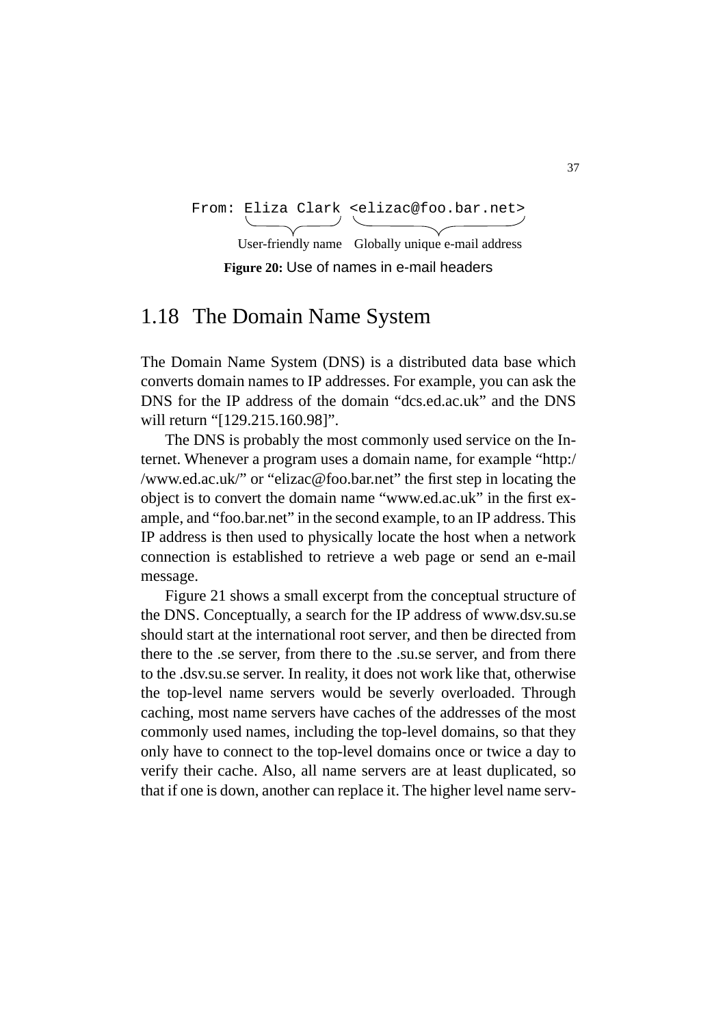```
From: Eliza Clark <elizac@foo.bar.net>
```
**Figure 20:** Use of names in e-mail headers User-friendly name Globally unique e-mail address

# 1.18 The Domain Name System

The Domain Name System (DNS) is a distributed data base which converts domain names to IP addresses. For example, you can ask the DNS for the IP address of the domain "dcs.ed.ac.uk" and the DNS will return "[129.215.160.98]".

The DNS is probably the most commonly used service on the Internet. Whenever a program uses a domain name, for example "http:/ /www.ed.ac.uk/" or "elizac@foo.bar.net" the first step in locating the object is to convert the domain name "www.ed.ac.uk" in the first example, and "foo.bar.net" in the second example, to an IP address. This IP address is then used to physically locate the host when a network connection is established to retrieve a web page or send an e-mail message.

Figure 21 shows a small excerpt from the conceptual structure of the DNS. Conceptually, a search for the IP address of www.dsv.su.se should start at the international root server, and then be directed from there to the .se server, from there to the .su.se server, and from there to the .dsv.su.se server. In reality, it does not work like that, otherwise the top-level name servers would be severly overloaded. Through caching, most name servers have caches of the addresses of the most commonly used names, including the top-level domains, so that they only have to connect to the top-level domains once or twice a day to verify their cache. Also, all name servers are at least duplicated, so that if one is down, another can replace it. The higher level name serv-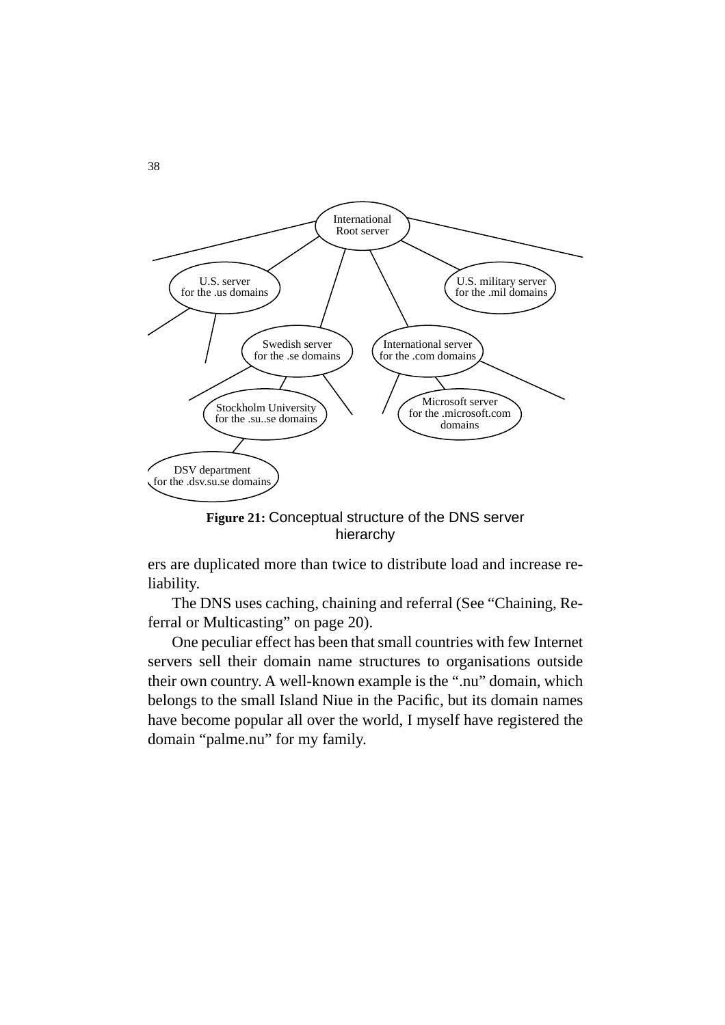

**Figure 21:** Conceptual structure of the DNS server hierarchy

ers are duplicated more than twice to distribute load and increase reliability.

The DNS uses caching, chaining and referral (See "Chaining, Referral or Multicasting" on page 20).

One peculiar effect has been that small countries with few Internet servers sell their domain name structures to organisations outside their own country. A well-known example is the ".nu" domain, which belongs to the small Island Niue in the Pacific, but its domain names have become popular all over the world, I myself have registered the domain "palme.nu" for my family.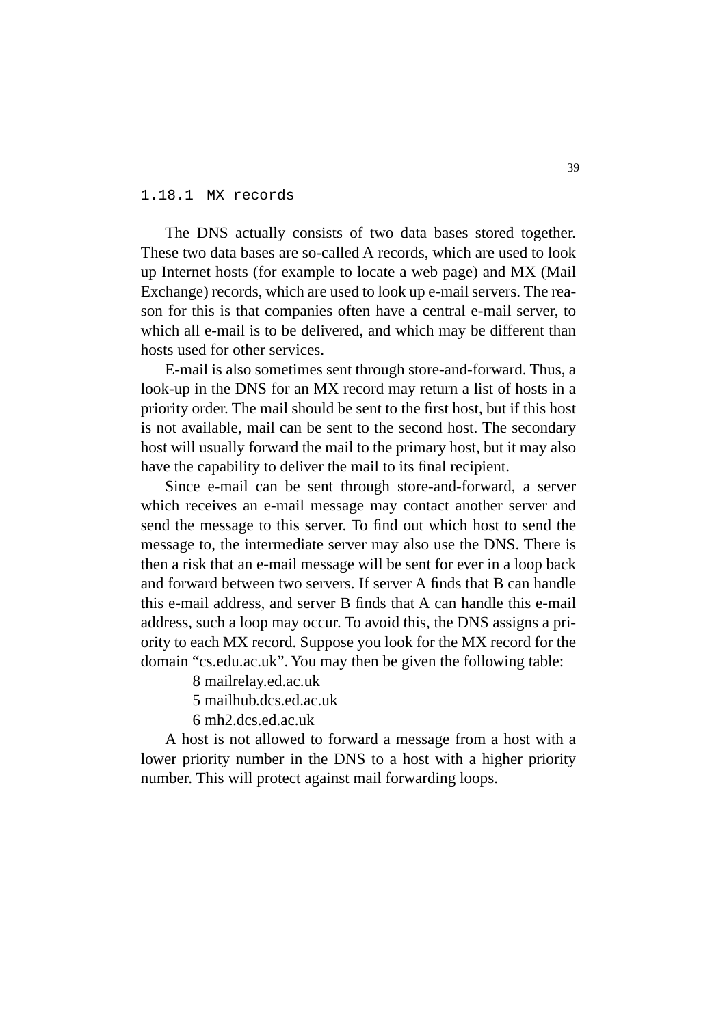#### 1.18.1 MX records

The DNS actually consists of two data bases stored together. These two data bases are so-called A records, which are used to look up Internet hosts (for example to locate a web page) and MX (Mail Exchange) records, which are used to look up e-mail servers. The reason for this is that companies often have a central e-mail server, to which all e-mail is to be delivered, and which may be different than hosts used for other services.

E-mail is also sometimes sent through store-and-forward. Thus, a look-up in the DNS for an MX record may return a list of hosts in a priority order. The mail should be sent to the first host, but if this host is not available, mail can be sent to the second host. The secondary host will usually forward the mail to the primary host, but it may also have the capability to deliver the mail to its final recipient.

Since e-mail can be sent through store-and-forward, a server which receives an e-mail message may contact another server and send the message to this server. To find out which host to send the message to, the intermediate server may also use the DNS. There is then a risk that an e-mail message will be sent for ever in a loop back and forward between two servers. If server A finds that B can handle this e-mail address, and server B finds that A can handle this e-mail address, such a loop may occur. To avoid this, the DNS assigns a priority to each MX record. Suppose you look for the MX record for the domain "cs.edu.ac.uk". You may then be given the following table:

8 mailrelay.ed.ac.uk

5 mailhub.dcs.ed.ac.uk

6 mh2.dcs.ed.ac.uk

A host is not allowed to forward a message from a host with a lower priority number in the DNS to a host with a higher priority number. This will protect against mail forwarding loops.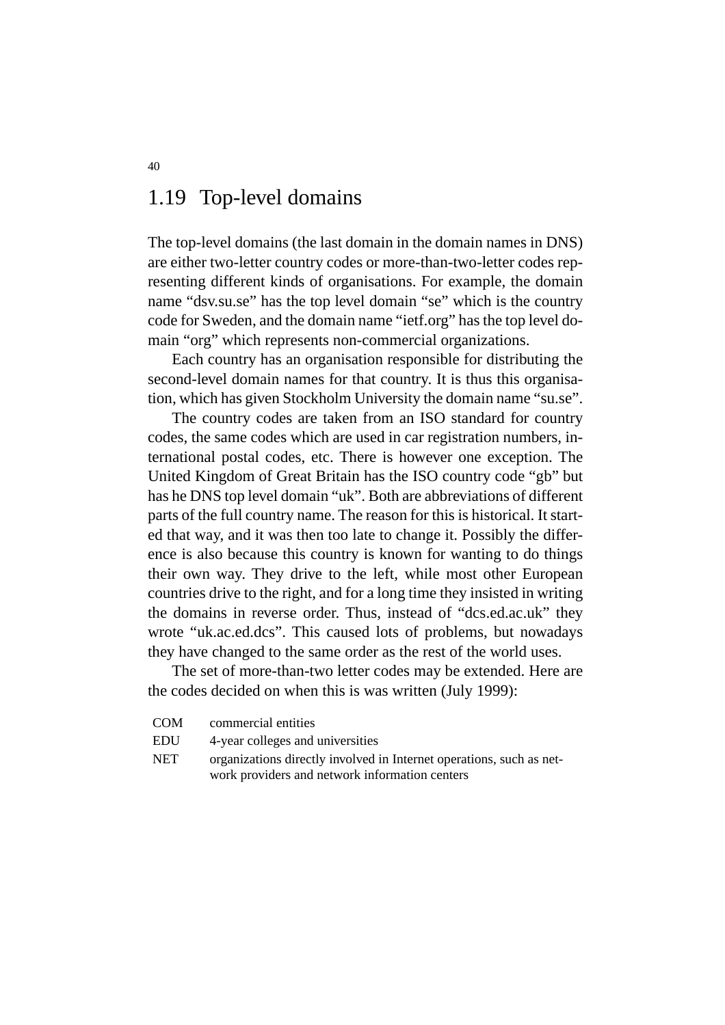# 1.19 Top-level domains

The top-level domains (the last domain in the domain names in DNS) are either two-letter country codes or more-than-two-letter codes representing different kinds of organisations. For example, the domain name "dsv.su.se" has the top level domain "se" which is the country code for Sweden, and the domain name "ietf.org" has the top level domain "org" which represents non-commercial organizations.

Each country has an organisation responsible for distributing the second-level domain names for that country. It is thus this organisation, which has given Stockholm University the domain name "su.se".

The country codes are taken from an ISO standard for country codes, the same codes which are used in car registration numbers, international postal codes, etc. There is however one exception. The United Kingdom of Great Britain has the ISO country code "gb" but has he DNS top level domain "uk". Both are abbreviations of different parts of the full country name. The reason for this is historical. It started that way, and it was then too late to change it. Possibly the difference is also because this country is known for wanting to do things their own way. They drive to the left, while most other European countries drive to the right, and for a long time they insisted in writing the domains in reverse order. Thus, instead of "dcs.ed.ac.uk" they wrote "uk.ac.ed.dcs". This caused lots of problems, but nowadays they have changed to the same order as the rest of the world uses.

The set of more-than-two letter codes may be extended. Here are the codes decided on when this is was written (July 1999):

- COM commercial entities
- EDU 4-year colleges and universities
- NET organizations directly involved in Internet operations, such as network providers and network information centers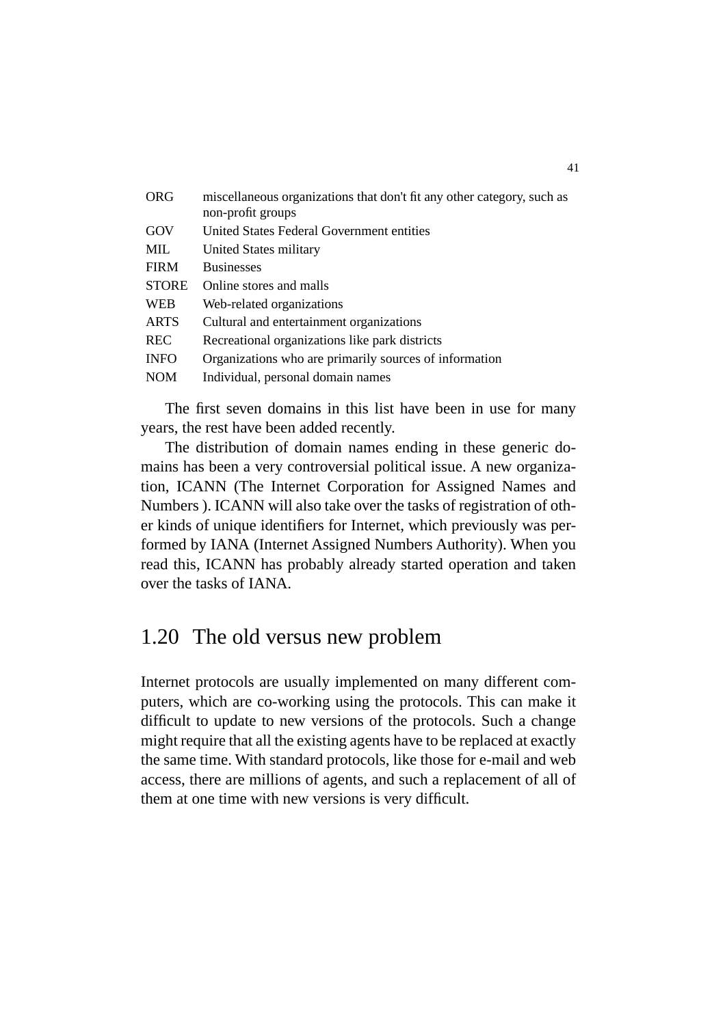| <b>ORG</b>   | miscellaneous organizations that don't fit any other category, such as<br>non-profit groups |
|--------------|---------------------------------------------------------------------------------------------|
| GOV          | United States Federal Government entities                                                   |
| <b>MIL</b>   | United States military                                                                      |
| <b>FIRM</b>  | <b>Businesses</b>                                                                           |
| <b>STORE</b> | Online stores and malls                                                                     |
| <b>WEB</b>   | Web-related organizations                                                                   |
| <b>ARTS</b>  | Cultural and entertainment organizations                                                    |
| <b>REC</b>   | Recreational organizations like park districts                                              |
| <b>INFO</b>  | Organizations who are primarily sources of information                                      |
| <b>NOM</b>   | Individual, personal domain names                                                           |
|              |                                                                                             |

The first seven domains in this list have been in use for many years, the rest have been added recently.

The distribution of domain names ending in these generic domains has been a very controversial political issue. A new organization, ICANN (The Internet Corporation for Assigned Names and Numbers ). ICANN will also take over the tasks of registration of other kinds of unique identifiers for Internet, which previously was performed by IANA (Internet Assigned Numbers Authority). When you read this, ICANN has probably already started operation and taken over the tasks of IANA.

# 1.20 The old versus new problem

Internet protocols are usually implemented on many different computers, which are co-working using the protocols. This can make it difficult to update to new versions of the protocols. Such a change might require that all the existing agents have to be replaced at exactly the same time. With standard protocols, like those for e-mail and web access, there are millions of agents, and such a replacement of all of them at one time with new versions is very difficult.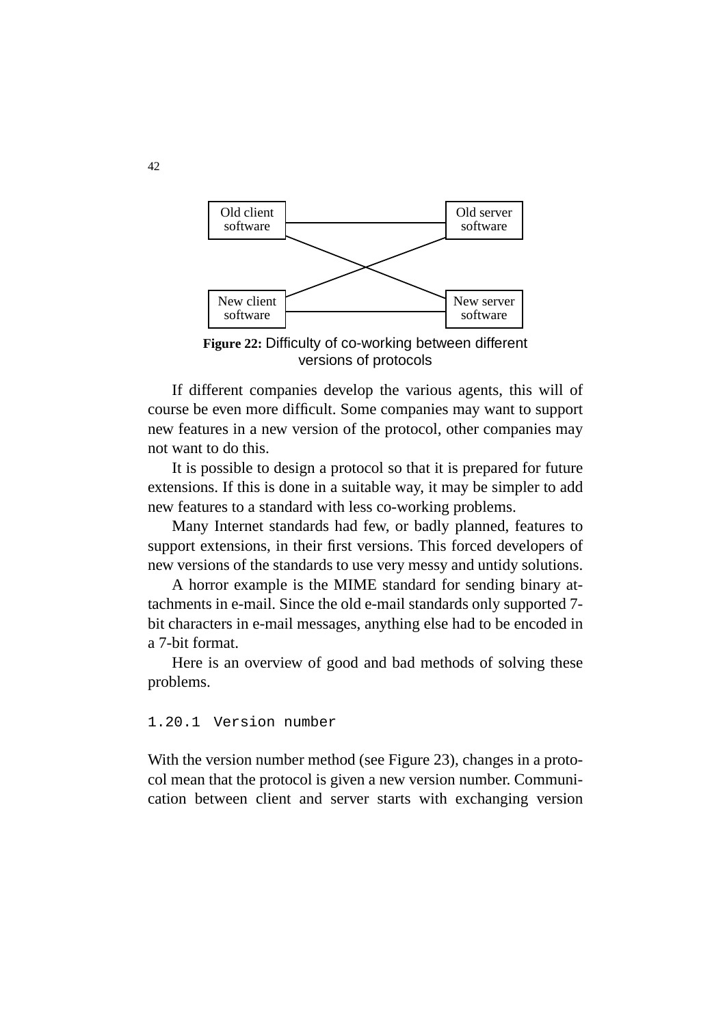

**Figure 22:** Difficulty of co-working between different versions of protocols

If different companies develop the various agents, this will of course be even more difficult. Some companies may want to support new features in a new version of the protocol, other companies may not want to do this.

It is possible to design a protocol so that it is prepared for future extensions. If this is done in a suitable way, it may be simpler to add new features to a standard with less co-working problems.

Many Internet standards had few, or badly planned, features to support extensions, in their first versions. This forced developers of new versions of the standards to use very messy and untidy solutions.

A horror example is the MIME standard for sending binary attachments in e-mail. Since the old e-mail standards only supported 7 bit characters in e-mail messages, anything else had to be encoded in a 7-bit format.

Here is an overview of good and bad methods of solving these problems.

1.20.1 Version number

With the version number method (see Figure 23), changes in a protocol mean that the protocol is given a new version number. Communication between client and server starts with exchanging version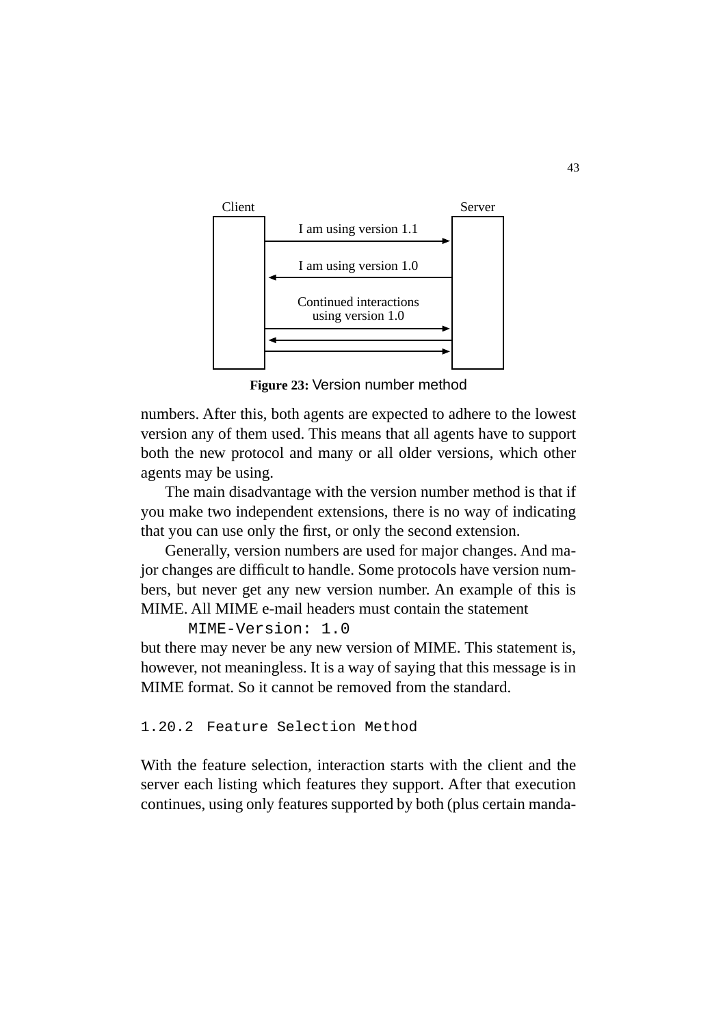

**Figure 23:** Version number method

numbers. After this, both agents are expected to adhere to the lowest version any of them used. This means that all agents have to support both the new protocol and many or all older versions, which other agents may be using.

The main disadvantage with the version number method is that if you make two independent extensions, there is no way of indicating that you can use only the first, or only the second extension.

Generally, version numbers are used for major changes. And major changes are difficult to handle. Some protocols have version numbers, but never get any new version number. An example of this is MIME. All MIME e-mail headers must contain the statement

 MIME-Version: 1.0 but there may never be any new version of MIME. This statement is, however, not meaningless. It is a way of saying that this message is in MIME format. So it cannot be removed from the standard.

1.20.2 Feature Selection Method

With the feature selection, interaction starts with the client and the server each listing which features they support. After that execution continues, using only features supported by both (plus certain manda-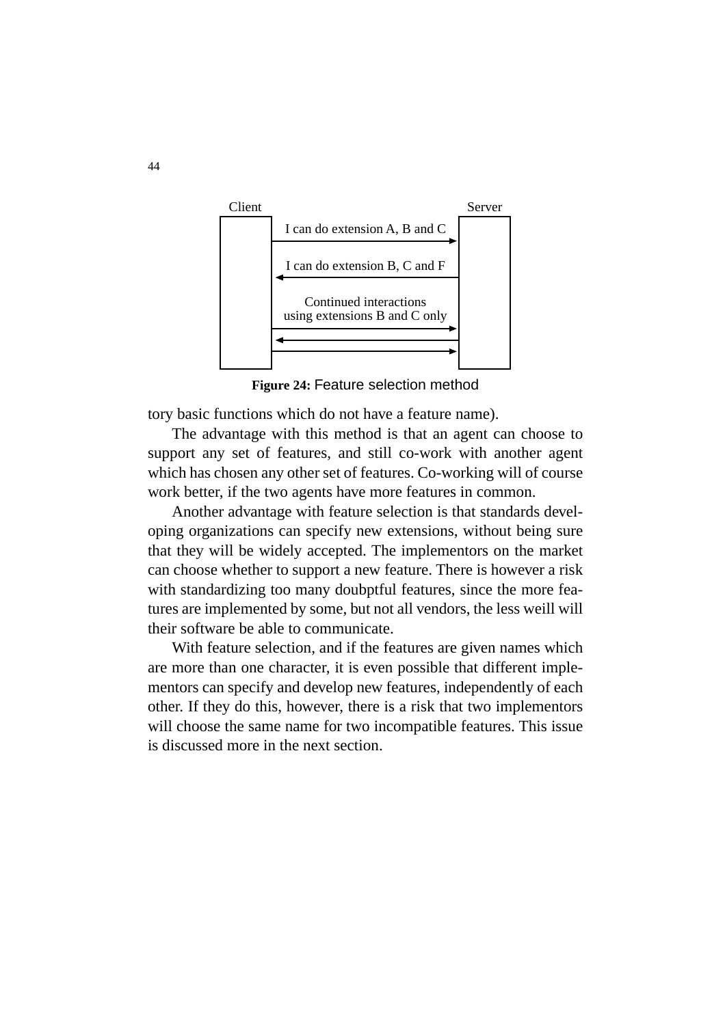

**Figure 24:** Feature selection method

tory basic functions which do not have a feature name).

The advantage with this method is that an agent can choose to support any set of features, and still co-work with another agent which has chosen any other set of features. Co-working will of course work better, if the two agents have more features in common.

Another advantage with feature selection is that standards developing organizations can specify new extensions, without being sure that they will be widely accepted. The implementors on the market can choose whether to support a new feature. There is however a risk with standardizing too many doubptful features, since the more features are implemented by some, but not all vendors, the less weill will their software be able to communicate.

With feature selection, and if the features are given names which are more than one character, it is even possible that different implementors can specify and develop new features, independently of each other. If they do this, however, there is a risk that two implementors will choose the same name for two incompatible features. This issue is discussed more in the next section.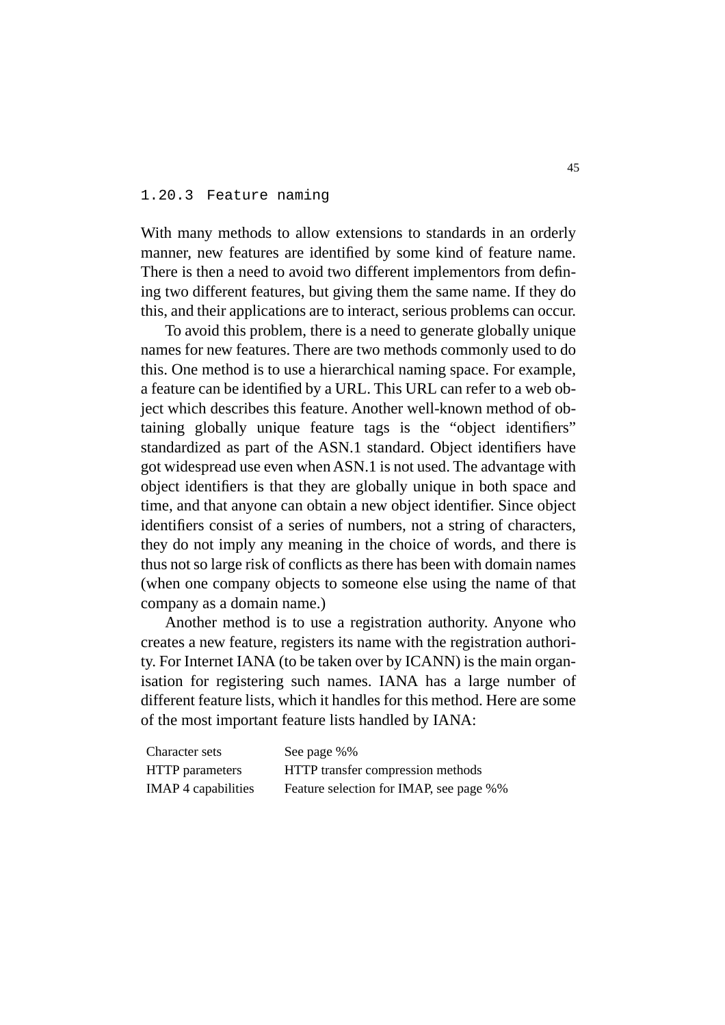#### 1.20.3 Feature naming

With many methods to allow extensions to standards in an orderly manner, new features are identified by some kind of feature name. There is then a need to avoid two different implementors from defining two different features, but giving them the same name. If they do this, and their applications are to interact, serious problems can occur.

To avoid this problem, there is a need to generate globally unique names for new features. There are two methods commonly used to do this. One method is to use a hierarchical naming space. For example, a feature can be identified by a URL. This URL can refer to a web object which describes this feature. Another well-known method of obtaining globally unique feature tags is the "object identifiers" standardized as part of the ASN.1 standard. Object identifiers have got widespread use even when ASN.1 is not used. The advantage with object identifiers is that they are globally unique in both space and time, and that anyone can obtain a new object identifier. Since object identifiers consist of a series of numbers, not a string of characters, they do not imply any meaning in the choice of words, and there is thus not so large risk of conflicts as there has been with domain names (when one company objects to someone else using the name of that company as a domain name.)

Another method is to use a registration authority. Anyone who creates a new feature, registers its name with the registration authority. For Internet IANA (to be taken over by ICANN) is the main organisation for registering such names. IANA has a large number of different feature lists, which it handles for this method. Here are some of the most important feature lists handled by IANA:

| Character sets             | See page %%                             |
|----------------------------|-----------------------------------------|
| <b>HTTP</b> parameters     | HTTP transfer compression methods       |
| <b>IMAP</b> 4 capabilities | Feature selection for IMAP, see page %% |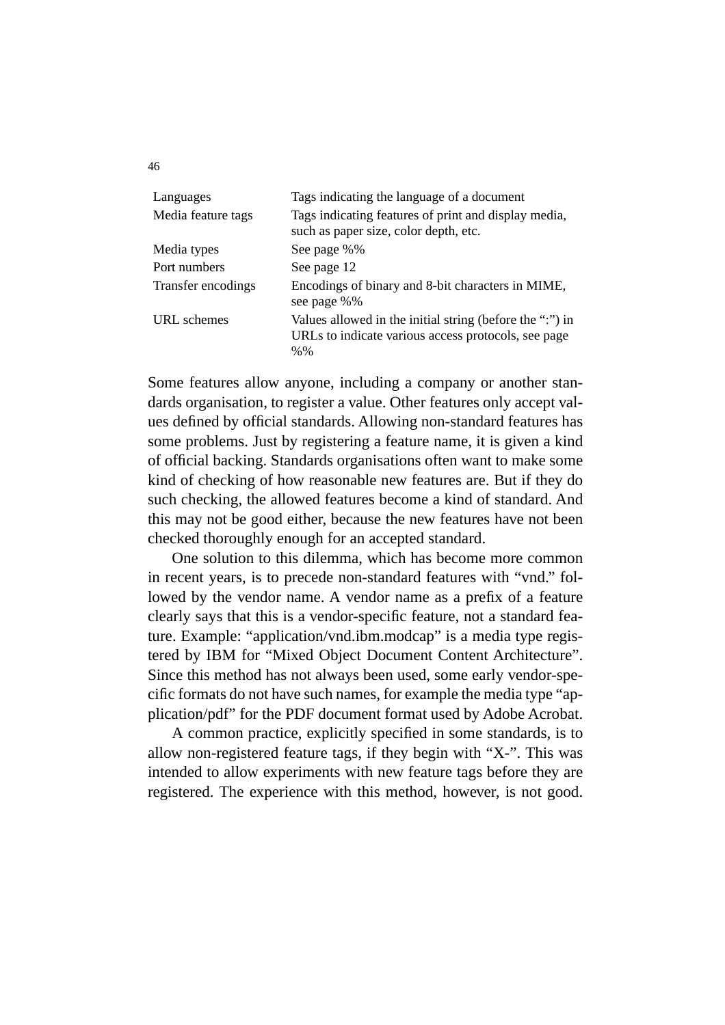| Languages          | Tags indicating the language of a document                                                                                |
|--------------------|---------------------------------------------------------------------------------------------------------------------------|
| Media feature tags | Tags indicating features of print and display media,<br>such as paper size, color depth, etc.                             |
| Media types        | See page %%                                                                                                               |
| Port numbers       | See page 12                                                                                                               |
| Transfer encodings | Encodings of binary and 8-bit characters in MIME,<br>see page %%                                                          |
| URL schemes        | Values allowed in the initial string (before the ":") in<br>URLs to indicate various access protocols, see page<br>$% \%$ |

Some features allow anyone, including a company or another standards organisation, to register a value. Other features only accept values defined by official standards. Allowing non-standard features has some problems. Just by registering a feature name, it is given a kind of official backing. Standards organisations often want to make some kind of checking of how reasonable new features are. But if they do such checking, the allowed features become a kind of standard. And this may not be good either, because the new features have not been checked thoroughly enough for an accepted standard.

One solution to this dilemma, which has become more common in recent years, is to precede non-standard features with "vnd." followed by the vendor name. A vendor name as a prefix of a feature clearly says that this is a vendor-specific feature, not a standard feature. Example: "application/vnd.ibm.modcap" is a media type registered by IBM for "Mixed Object Document Content Architecture". Since this method has not always been used, some early vendor-specific formats do not have such names, for example the media type "application/pdf" for the PDF document format used by Adobe Acrobat.

A common practice, explicitly specified in some standards, is to allow non-registered feature tags, if they begin with "X-". This was intended to allow experiments with new feature tags before they are registered. The experience with this method, however, is not good.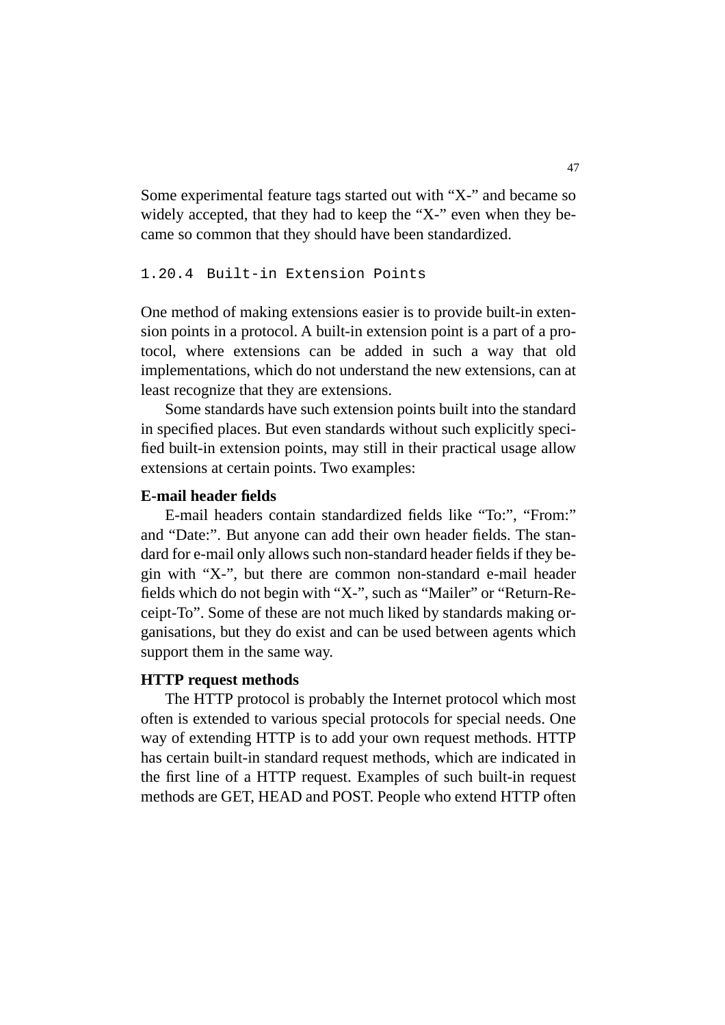Some experimental feature tags started out with "X-" and became so widely accepted, that they had to keep the "X-" even when they became so common that they should have been standardized.

#### 1.20.4 Built-in Extension Points

One method of making extensions easier is to provide built-in extension points in a protocol. A built-in extension point is a part of a protocol, where extensions can be added in such a way that old implementations, which do not understand the new extensions, can at least recognize that they are extensions.

Some standards have such extension points built into the standard in specified places. But even standards without such explicitly specified built-in extension points, may still in their practical usage allow extensions at certain points. Two examples:

#### **E-mail header fields**

E-mail headers contain standardized fields like "To:", "From:" and "Date:". But anyone can add their own header fields. The standard for e-mail only allows such non-standard header fields if they begin with "X-", but there are common non-standard e-mail header fields which do not begin with "X-", such as "Mailer" or "Return-Receipt-To". Some of these are not much liked by standards making organisations, but they do exist and can be used between agents which support them in the same way.

#### **HTTP request methods**

The HTTP protocol is probably the Internet protocol which most often is extended to various special protocols for special needs. One way of extending HTTP is to add your own request methods. HTTP has certain built-in standard request methods, which are indicated in the first line of a HTTP request. Examples of such built-in request methods are GET, HEAD and POST. People who extend HTTP often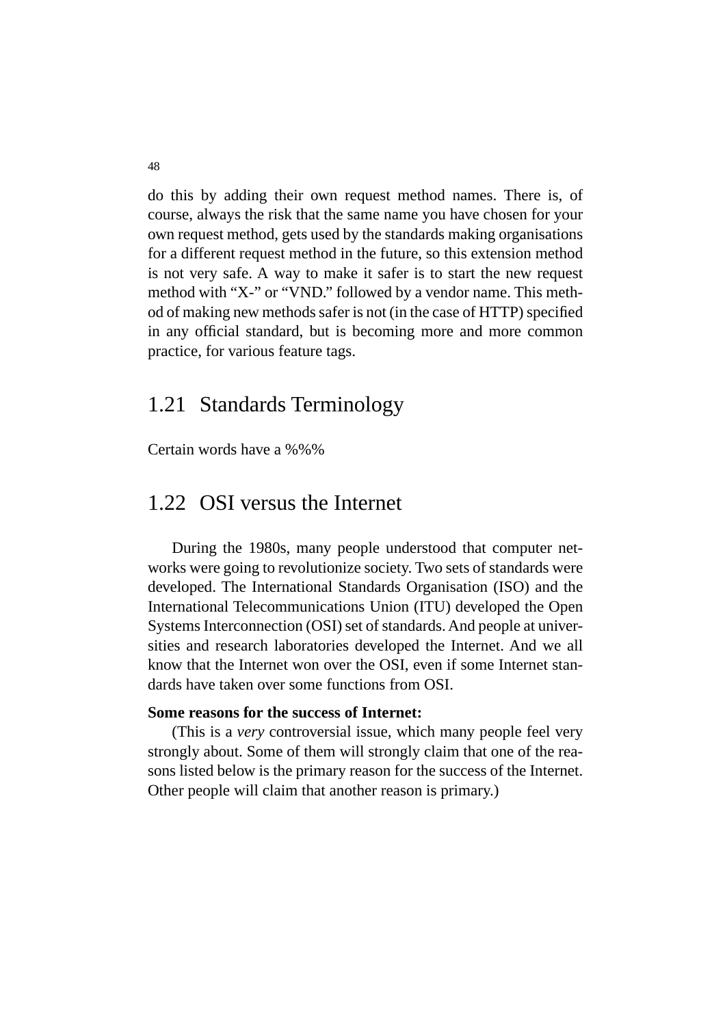do this by adding their own request method names. There is, of course, always the risk that the same name you have chosen for your own request method, gets used by the standards making organisations for a different request method in the future, so this extension method is not very safe. A way to make it safer is to start the new request method with "X-" or "VND." followed by a vendor name. This method of making new methods safer is not (in the case of HTTP) specified in any official standard, but is becoming more and more common practice, for various feature tags.

#### 1.21 Standards Terminology

Certain words have a %%%

#### 1.22 OSI versus the Internet

During the 1980s, many people understood that computer networks were going to revolutionize society. Two sets of standards were developed. The International Standards Organisation (ISO) and the International Telecommunications Union (ITU) developed the Open Systems Interconnection (OSI) set of standards. And people at universities and research laboratories developed the Internet. And we all know that the Internet won over the OSI, even if some Internet standards have taken over some functions from OSI.

#### **Some reasons for the success of Internet:**

(This is a *very* controversial issue, which many people feel very strongly about. Some of them will strongly claim that one of the reasons listed below is the primary reason for the success of the Internet. Other people will claim that another reason is primary.)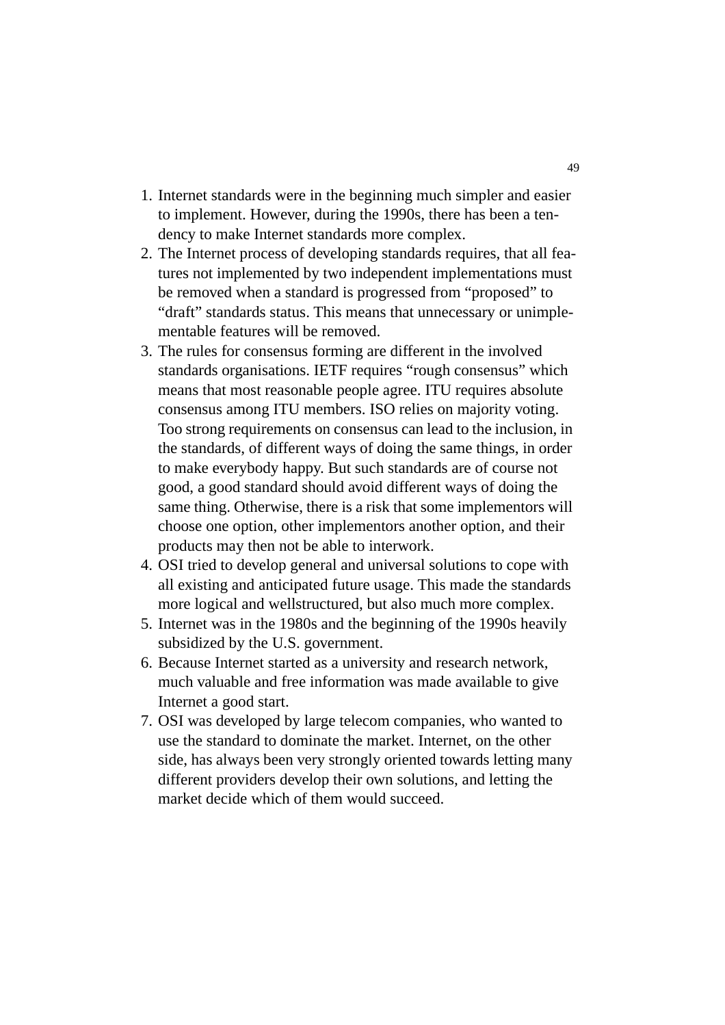- 1. Internet standards were in the beginning much simpler and easier to implement. However, during the 1990s, there has been a tendency to make Internet standards more complex.
- 2. The Internet process of developing standards requires, that all features not implemented by two independent implementations must be removed when a standard is progressed from "proposed" to "draft" standards status. This means that unnecessary or unimplementable features will be removed.
- 3. The rules for consensus forming are different in the involved standards organisations. IETF requires "rough consensus" which means that most reasonable people agree. ITU requires absolute consensus among ITU members. ISO relies on majority voting. Too strong requirements on consensus can lead to the inclusion, in the standards, of different ways of doing the same things, in order to make everybody happy. But such standards are of course not good, a good standard should avoid different ways of doing the same thing. Otherwise, there is a risk that some implementors will choose one option, other implementors another option, and their products may then not be able to interwork.
- 4. OSI tried to develop general and universal solutions to cope with all existing and anticipated future usage. This made the standards more logical and wellstructured, but also much more complex.
- 5. Internet was in the 1980s and the beginning of the 1990s heavily subsidized by the U.S. government.
- 6. Because Internet started as a university and research network, much valuable and free information was made available to give Internet a good start.
- 7. OSI was developed by large telecom companies, who wanted to use the standard to dominate the market. Internet, on the other side, has always been very strongly oriented towards letting many different providers develop their own solutions, and letting the market decide which of them would succeed.